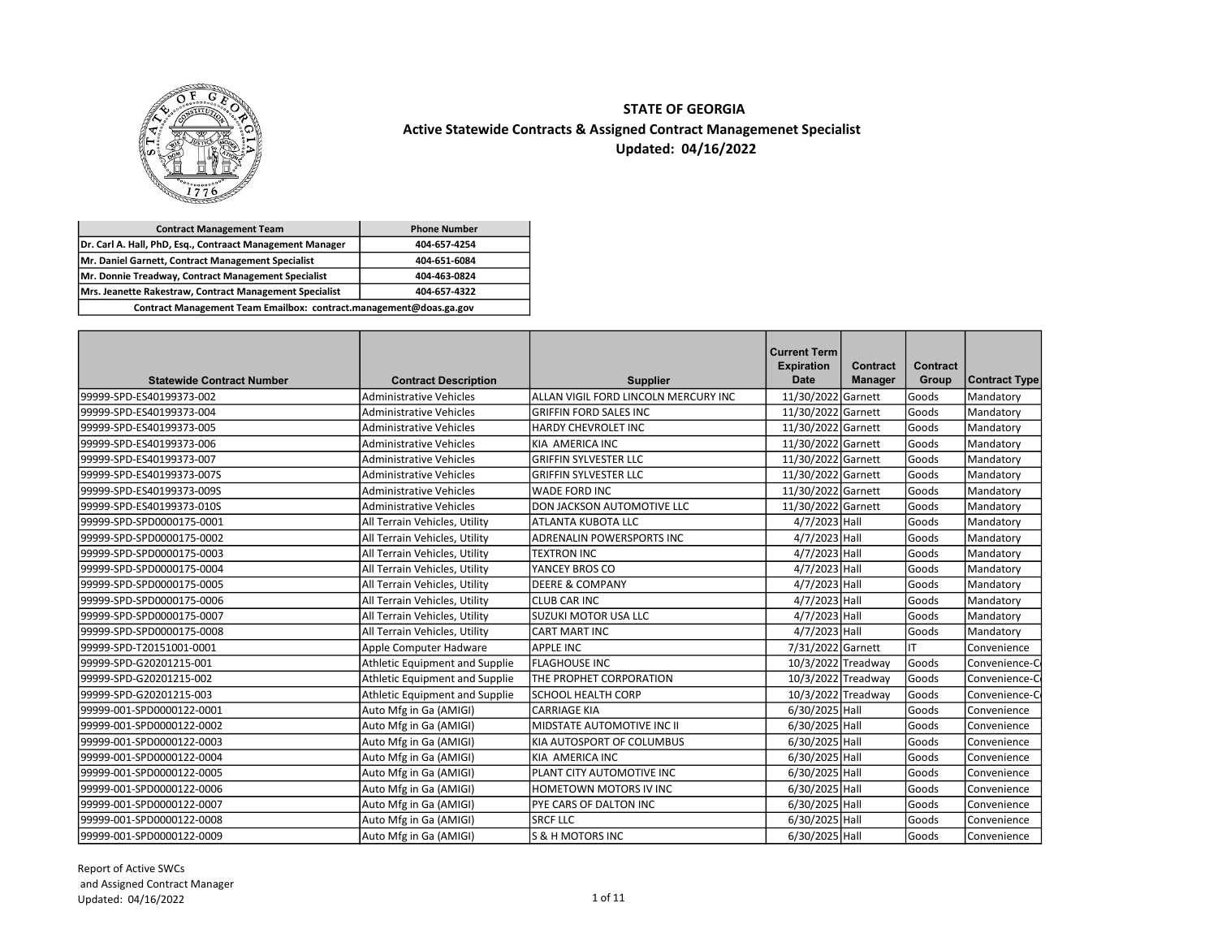

## STATE OF GEORGIA Updated: 04/16/2022 Active Statewide Contracts & Assigned Contract Managemenet Specialist

| <b>Contract Management Team</b>                                    | <b>Phone Number</b> |
|--------------------------------------------------------------------|---------------------|
| Dr. Carl A. Hall, PhD, Esg., Contraact Management Manager          | 404-657-4254        |
| Mr. Daniel Garnett, Contract Management Specialist                 | 404-651-6084        |
| Mr. Donnie Treadway, Contract Management Specialist                | 404-463-0824        |
| Mrs. Jeanette Rakestraw, Contract Management Specialist            | 404-657-4322        |
| Contract Management Team Emailbox: contract.management@doas.ga.gov |                     |

| <b>Statewide Contract Number</b> | <b>Contract Description</b>    | <b>Supplier</b>                      | <b>Current Term</b><br><b>Expiration</b><br><b>Date</b> | <b>Contract</b><br><b>Manager</b> | Contract<br>Group | Contract Type |
|----------------------------------|--------------------------------|--------------------------------------|---------------------------------------------------------|-----------------------------------|-------------------|---------------|
| 99999-SPD-ES40199373-002         | <b>Administrative Vehicles</b> | ALLAN VIGIL FORD LINCOLN MERCURY INC | 11/30/2022 Garnett                                      |                                   | Goods             | Mandatory     |
| 99999-SPD-ES40199373-004         | <b>Administrative Vehicles</b> | <b>GRIFFIN FORD SALES INC</b>        | 11/30/2022 Garnett                                      |                                   | Goods             | Mandatory     |
| 99999-SPD-ES40199373-005         | <b>Administrative Vehicles</b> | <b>HARDY CHEVROLET INC</b>           | 11/30/2022 Garnett                                      |                                   | Goods             | Mandatory     |
| 99999-SPD-ES40199373-006         | <b>Administrative Vehicles</b> | KIA AMERICA INC                      | 11/30/2022 Garnett                                      |                                   | Goods             | Mandatory     |
| 99999-SPD-ES40199373-007         | <b>Administrative Vehicles</b> | İGRIFFIN SYLVESTER LLC               | 11/30/2022 Garnett                                      |                                   | Goods             | Mandatory     |
| 99999-SPD-ES40199373-007S        | <b>Administrative Vehicles</b> | <b>GRIFFIN SYLVESTER LLC</b>         | 11/30/2022 Garnett                                      |                                   | Goods             | Mandatory     |
| 99999-SPD-ES40199373-009S        | <b>Administrative Vehicles</b> | IWADE FORD INC                       | 11/30/2022 Garnett                                      |                                   | Goods             | Mandatory     |
| 99999-SPD-ES40199373-010S        | <b>Administrative Vehicles</b> | <b>DON JACKSON AUTOMOTIVE LLC</b>    | 11/30/2022 Garnett                                      |                                   | Goods             | Mandatory     |
| 99999-SPD-SPD0000175-0001        | All Terrain Vehicles, Utility  | ATLANTA KUBOTA LLC                   | 4/7/2023 Hall                                           |                                   | Goods             | Mandatory     |
| 99999-SPD-SPD0000175-0002        | All Terrain Vehicles, Utility  | ADRENALIN POWERSPORTS INC            | 4/7/2023 Hall                                           |                                   | Goods             | Mandatory     |
| 99999-SPD-SPD0000175-0003        | All Terrain Vehicles, Utility  | <b>TEXTRON INC</b>                   | 4/7/2023 Hall                                           |                                   | Goods             | Mandatory     |
| 99999-SPD-SPD0000175-0004        | All Terrain Vehicles, Utility  | lyancey bros co                      | 4/7/2023 Hall                                           |                                   | Goods             | Mandatory     |
| 99999-SPD-SPD0000175-0005        | All Terrain Vehicles, Utility  | <b>IDEERE &amp; COMPANY</b>          | 4/7/2023 Hall                                           |                                   | Goods             | Mandatory     |
| 99999-SPD-SPD0000175-0006        | All Terrain Vehicles, Utility  | ICLUB CAR INC                        | $\overline{4/7}/2023$ Hall                              |                                   | Goods             | Mandatory     |
| 99999-SPD-SPD0000175-0007        | All Terrain Vehicles, Utility  | ISUZUKI MOTOR USA LLC                | 4/7/2023 Hall                                           |                                   | Goods             | Mandatory     |
| 99999-SPD-SPD0000175-0008        | All Terrain Vehicles, Utility  | CART MART INC                        | 4/7/2023 Hall                                           |                                   | Goods             | Mandatory     |
| 99999-SPD-T20151001-0001         | Apple Computer Hadware         | APPLE INC                            | 7/31/2022 Garnett                                       |                                   | lιτ               | Convenience   |
| 99999-SPD-G20201215-001          | Athletic Equipment and Supplie | <b>FLAGHOUSE INC</b>                 | 10/3/2022 Treadway                                      |                                   | Goods             | Convenience-C |
| 99999-SPD-G20201215-002          | Athletic Equipment and Supplie | <b>THE PROPHET CORPORATION</b>       | 10/3/2022 Treadway                                      |                                   | Goods             | Convenience-C |
| 99999-SPD-G20201215-003          | Athletic Equipment and Supplie | <b>SCHOOL HEALTH CORP</b>            |                                                         | 10/3/2022 Treadway                | Goods             | Convenience-C |
| 99999-001-SPD0000122-0001        | Auto Mfg in Ga (AMIGI)         | <b>CARRIAGE KIA</b>                  | $6/30/2025$ Hall                                        |                                   | Goods             | Convenience   |
| 99999-001-SPD0000122-0002        | Auto Mfg in Ga (AMIGI)         | MIDSTATE AUTOMOTIVE INC II           | 6/30/2025 Hall                                          |                                   | Goods             | Convenience   |
| 99999-001-SPD0000122-0003        | Auto Mfg in Ga (AMIGI)         | KIA AUTOSPORT OF COLUMBUS            | 6/30/2025 Hall                                          |                                   | Goods             | Convenience   |
| 99999-001-SPD0000122-0004        | Auto Mfg in Ga (AMIGI)         | IKIA AMERICA INC                     | 6/30/2025 Hall                                          |                                   | Goods             | Convenience   |
| 99999-001-SPD0000122-0005        | Auto Mfg in Ga (AMIGI)         | PLANT CITY AUTOMOTIVE INC            | 6/30/2025 Hall                                          |                                   | Goods             | Convenience   |
| 99999-001-SPD0000122-0006        | Auto Mfg in Ga (AMIGI)         | <b>HOMETOWN MOTORS IV INC</b>        | 6/30/2025 Hall                                          |                                   | Goods             | Convenience   |
| 99999-001-SPD0000122-0007        | Auto Mfg in Ga (AMIGI)         | <b>PYE CARS OF DALTON INC</b>        | 6/30/2025 Hall                                          |                                   | Goods             | Convenience   |
| 99999-001-SPD0000122-0008        | Auto Mfg in Ga (AMIGI)         | ISRCF LLC                            | 6/30/2025 Hall                                          |                                   | Goods             | Convenience   |
| 99999-001-SPD0000122-0009        | Auto Mfg in Ga (AMIGI)         | <b>S &amp; H MOTORS INC</b>          | 6/30/2025 Hall                                          |                                   | Goods             | Convenience   |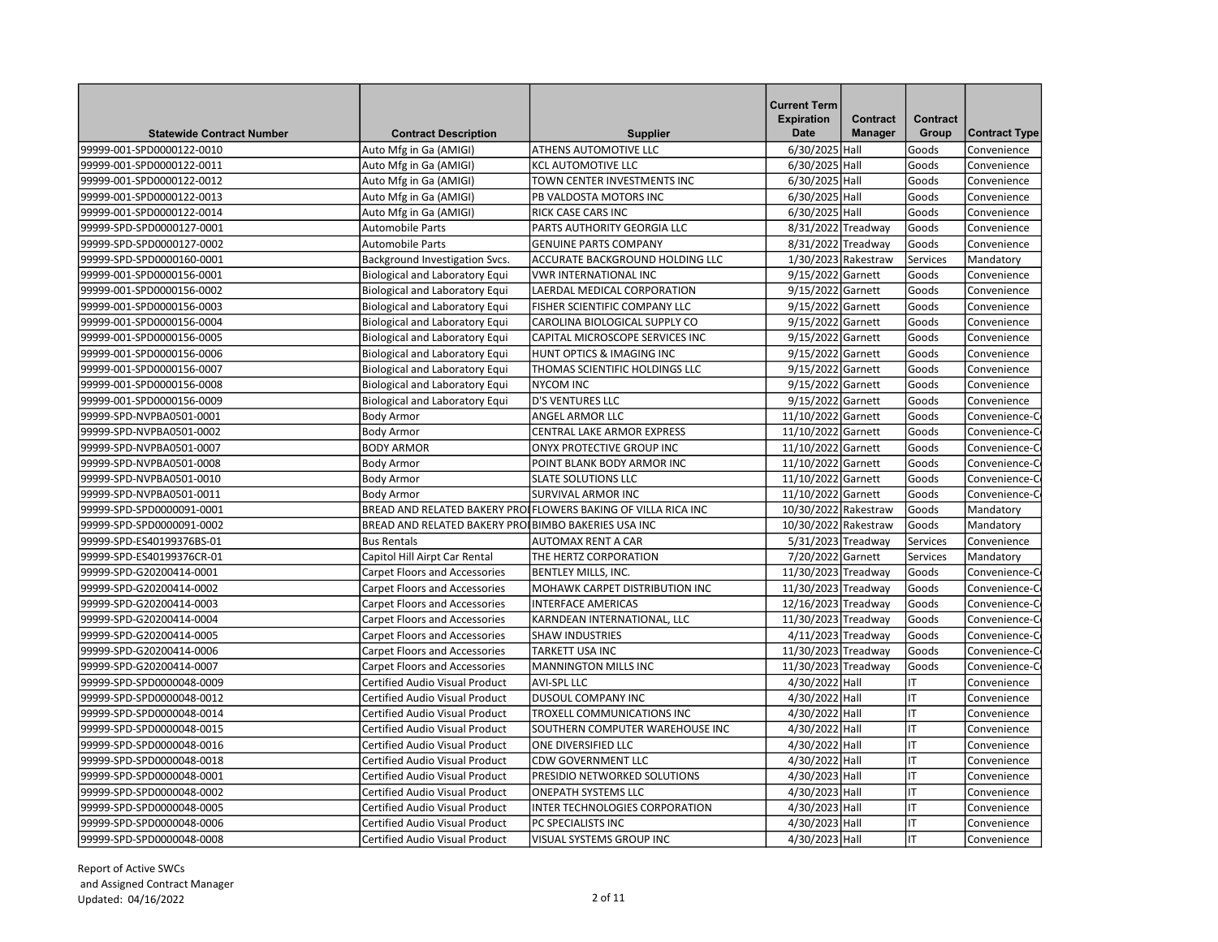| <b>Statewide Contract Number</b> | <b>Contract Description</b>                         | <b>Supplier</b>                                               | <b>Current Term</b><br><b>Expiration</b><br><b>Date</b> | Contract<br><b>Manager</b> | Contract<br>Group | <b>Contract Type</b> |
|----------------------------------|-----------------------------------------------------|---------------------------------------------------------------|---------------------------------------------------------|----------------------------|-------------------|----------------------|
| 99999-001-SPD0000122-0010        | Auto Mfg in Ga (AMIGI)                              | <b>ATHENS AUTOMOTIVE LLC</b>                                  | 6/30/2025 Hall                                          |                            | Goods             | Convenience          |
| 99999-001-SPD0000122-0011        | Auto Mfg in Ga (AMIGI)                              | KCL AUTOMOTIVE LLC                                            | 6/30/2025 Hall                                          |                            | Goods             | Convenience          |
| 99999-001-SPD0000122-0012        | Auto Mfg in Ga (AMIGI)                              | TOWN CENTER INVESTMENTS INC                                   | 6/30/2025 Hall                                          |                            | Goods             | Convenience          |
| 99999-001-SPD0000122-0013        | Auto Mfg in Ga (AMIGI)                              | PB VALDOSTA MOTORS INC                                        | 6/30/2025 Hall                                          |                            | Goods             | Convenience          |
| 99999-001-SPD0000122-0014        | Auto Mfg in Ga (AMIGI)                              | <b>RICK CASE CARS INC</b>                                     | 6/30/2025 Hall                                          |                            | Goods             | Convenience          |
| 99999-SPD-SPD0000127-0001        | <b>Automobile Parts</b>                             | PARTS AUTHORITY GEORGIA LLC                                   | 8/31/2022 Treadway                                      |                            | Goods             | Convenience          |
| 99999-SPD-SPD0000127-0002        | <b>Automobile Parts</b>                             | <b>GENUINE PARTS COMPANY</b>                                  | 8/31/2022 Treadway                                      |                            | Goods             | Convenience          |
| 99999-SPD-SPD0000160-0001        | Background Investigation Svcs.                      | ACCURATE BACKGROUND HOLDING LLC                               |                                                         | 1/30/2023 Rakestraw        | Services          | Mandatory            |
| 99999-001-SPD0000156-0001        | <b>Biological and Laboratory Equi</b>               | <b>VWR INTERNATIONAL INC</b>                                  | 9/15/2022 Garnett                                       |                            | Goods             | Convenience          |
| 99999-001-SPD0000156-0002        | <b>Biological and Laboratory Equi</b>               | <b>LAERDAL MEDICAL CORPORATION</b>                            | 9/15/2022 Garnett                                       |                            | Goods             | Convenience          |
| 99999-001-SPD0000156-0003        | <b>Biological and Laboratory Equi</b>               | FISHER SCIENTIFIC COMPANY LLC                                 | 9/15/2022 Garnett                                       |                            | Goods             | Convenience          |
| 99999-001-SPD0000156-0004        | <b>Biological and Laboratory Equi</b>               | CAROLINA BIOLOGICAL SUPPLY CO                                 | 9/15/2022 Garnett                                       |                            | Goods             | Convenience          |
| 99999-001-SPD0000156-0005        | <b>Biological and Laboratory Equi</b>               | CAPITAL MICROSCOPE SERVICES INC                               | 9/15/2022 Garnett                                       |                            | Goods             | Convenience          |
| 99999-001-SPD0000156-0006        | <b>Biological and Laboratory Equi</b>               | HUNT OPTICS & IMAGING INC                                     | 9/15/2022 Garnett                                       |                            | Goods             | Convenience          |
| 99999-001-SPD0000156-0007        | <b>Biological and Laboratory Equi</b>               | THOMAS SCIENTIFIC HOLDINGS LLC                                | 9/15/2022 Garnett                                       |                            | Goods             | Convenience          |
| 99999-001-SPD0000156-0008        | <b>Biological and Laboratory Equi</b>               | <b>NYCOM INC</b>                                              | 9/15/2022 Garnett                                       |                            | Goods             | Convenience          |
| 99999-001-SPD0000156-0009        | <b>Biological and Laboratory Equi</b>               | <b>D'S VENTURES LLC</b>                                       | 9/15/2022 Garnett                                       |                            | lGoods            | Convenience          |
| 99999-SPD-NVPBA0501-0001         | <b>Body Armor</b>                                   | <b>ANGEL ARMOR LLC</b>                                        | 11/10/2022 Garnett                                      |                            | Goods             | Convenience-C        |
| 99999-SPD-NVPBA0501-0002         | <b>Body Armor</b>                                   | <b>CENTRAL LAKE ARMOR EXPRESS</b>                             | 11/10/2022 Garnett                                      |                            | Goods             | Convenience-C        |
| 99999-SPD-NVPBA0501-0007         | <b>BODY ARMOR</b>                                   | ONYX PROTECTIVE GROUP INC                                     | 11/10/2022 Garnett                                      |                            | Goods             | Convenience-C        |
| 99999-SPD-NVPBA0501-0008         | <b>Body Armor</b>                                   | POINT BLANK BODY ARMOR INC                                    | 11/10/2022 Garnett                                      |                            | Goods             | Convenience-C        |
| 99999-SPD-NVPBA0501-0010         | <b>Body Armor</b>                                   | <b>SLATE SOLUTIONS LLC</b>                                    | 11/10/2022 Garnett                                      |                            | Goods             | Convenience-C        |
| 99999-SPD-NVPBA0501-0011         | <b>Body Armor</b>                                   | <b>SURVIVAL ARMOR INC</b>                                     | 11/10/2022 Garnett                                      |                            | Goods             | Convenience-C        |
| 99999-SPD-SPD0000091-0001        |                                                     | BREAD AND RELATED BAKERY PROIFLOWERS BAKING OF VILLA RICA INC | 10/30/2022 Rakestraw                                    |                            | Goods             | Mandatory            |
| 99999-SPD-SPD0000091-0002        | BREAD AND RELATED BAKERY PROIBIMBO BAKERIES USA INC |                                                               | 10/30/2022 Rakestraw                                    |                            | Goods             | Mandatory            |
| 99999-SPD-ES40199376BS-01        | <b>Bus Rentals</b>                                  | <b>AUTOMAX RENT A CAR</b>                                     | 5/31/2023 Treadway                                      |                            | Services          | Convenience          |
| 99999-SPD-ES40199376CR-01        | Capitol Hill Airpt Car Rental                       | THE HERTZ CORPORATION                                         | 7/20/2022 Garnett                                       |                            | Services          | Mandatory            |
| 99999-SPD-G20200414-0001         | <b>Carpet Floors and Accessories</b>                | <b>BENTLEY MILLS, INC.</b>                                    | 11/30/2023 Treadway                                     |                            | Goods             | Convenience-C        |
| 99999-SPD-G20200414-0002         | <b>Carpet Floors and Accessories</b>                | MOHAWK CARPET DISTRIBUTION INC                                | 11/30/2023 Treadway                                     |                            | Goods             | Convenience-C        |
| 99999-SPD-G20200414-0003         | <b>Carpet Floors and Accessories</b>                | <b>INTERFACE AMERICAS</b>                                     | 12/16/2023 Treadway                                     |                            | Goods             | Convenience-C        |
| 99999-SPD-G20200414-0004         | <b>Carpet Floors and Accessories</b>                | KARNDEAN INTERNATIONAL, LLC                                   | 11/30/2023 Treadway                                     |                            | Goods             | Convenience-C        |
| 99999-SPD-G20200414-0005         | <b>Carpet Floors and Accessories</b>                | <b>SHAW INDUSTRIES</b>                                        | 4/11/2023 Treadway                                      |                            | Goods             | Convenience-C        |
| 99999-SPD-G20200414-0006         | <b>Carpet Floors and Accessories</b>                | TARKETT USA INC                                               | 11/30/2023 Treadway                                     |                            | Goods             | Convenience-C        |
| 99999-SPD-G20200414-0007         | <b>Carpet Floors and Accessories</b>                | <b>MANNINGTON MILLS INC</b>                                   | 11/30/2023 Treadway                                     |                            | Goods             | Convenience-C        |
| 99999-SPD-SPD0000048-0009        | Certified Audio Visual Product                      | <b>AVI-SPL LLC</b>                                            | 4/30/2022 Hall                                          |                            | lıt               | Convenience          |
| 99999-SPD-SPD0000048-0012        | Certified Audio Visual Product                      | <b>DUSOUL COMPANY INC</b>                                     | 4/30/2022 Hall                                          |                            | lιτ               | Convenience          |
| 99999-SPD-SPD0000048-0014        | Certified Audio Visual Product                      | <b>TROXELL COMMUNICATIONS INC</b>                             | 4/30/2022 Hall                                          |                            | lιτ               | Convenience          |
| 99999-SPD-SPD0000048-0015        | Certified Audio Visual Product                      | SOUTHERN COMPUTER WAREHOUSE INC                               | 4/30/2022 Hall                                          |                            | lıт               | Convenience          |
| 99999-SPD-SPD0000048-0016        | Certified Audio Visual Product                      | ONE DIVERSIFIED LLC                                           | 4/30/2022 Hall                                          |                            | IT                | Convenience          |
| 99999-SPD-SPD0000048-0018        | Certified Audio Visual Product                      | <b>CDW GOVERNMENT LLC</b>                                     | 4/30/2022 Hall                                          |                            | lıt               | Convenience          |
| 99999-SPD-SPD0000048-0001        | Certified Audio Visual Product                      | PRESIDIO NETWORKED SOLUTIONS                                  | 4/30/2023 Hall                                          |                            | IT                | Convenience          |
| 99999-SPD-SPD0000048-0002        | Certified Audio Visual Product                      | <b>ONEPATH SYSTEMS LLC</b>                                    | 4/30/2023 Hall                                          |                            | lıt               | Convenience          |
| 99999-SPD-SPD0000048-0005        | Certified Audio Visual Product                      | INTER TECHNOLOGIES CORPORATION                                | 4/30/2023 Hall                                          |                            | IT                | Convenience          |
| 99999-SPD-SPD0000048-0006        | Certified Audio Visual Product                      | PC SPECIALISTS INC                                            | 4/30/2023 Hall                                          |                            | Iт                | Convenience          |
| 99999-SPD-SPD0000048-0008        | <b>Certified Audio Visual Product</b>               | <b>VISUAL SYSTEMS GROUP INC</b>                               | 4/30/2023 Hall                                          |                            | Iт                | Convenience          |
|                                  |                                                     |                                                               |                                                         |                            |                   |                      |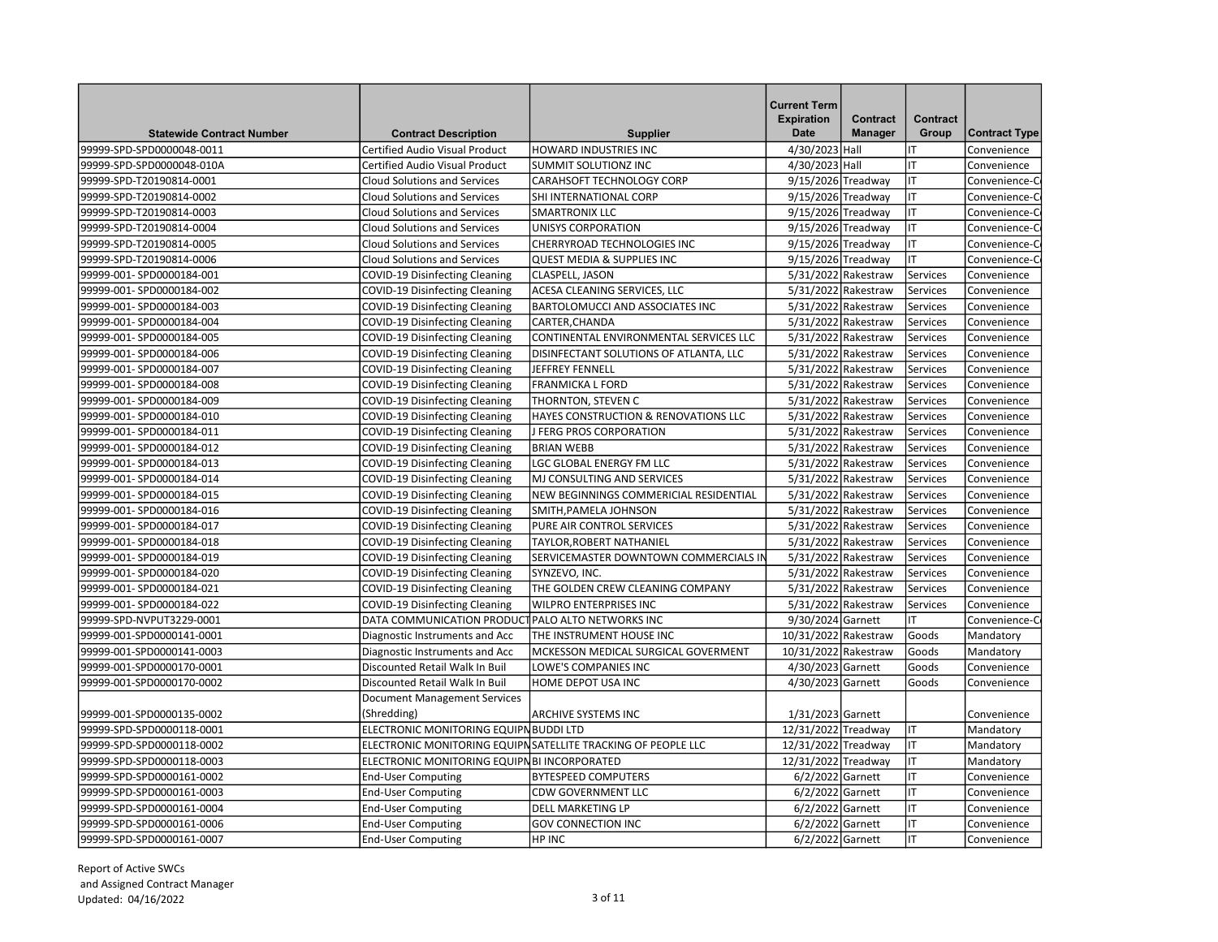| <b>Statewide Contract Number</b> | <b>Contract Description</b>                       | <b>Supplier</b>                                              | <b>Current Term</b><br><b>Expiration</b><br><b>Date</b> | Contract<br><b>Manager</b> | Contract<br>Group | <b>Contract Type</b> |
|----------------------------------|---------------------------------------------------|--------------------------------------------------------------|---------------------------------------------------------|----------------------------|-------------------|----------------------|
| 99999-SPD-SPD0000048-0011        | <b>Certified Audio Visual Product</b>             | <b>HOWARD INDUSTRIES INC</b>                                 | 4/30/2023 Hall                                          |                            | lıT               | Convenience          |
| 99999-SPD-SPD0000048-010A        | Certified Audio Visual Product                    | <b>SUMMIT SOLUTIONZ INC</b>                                  | 4/30/2023 Hall                                          |                            | lıT               | Convenience          |
| 99999-SPD-T20190814-0001         | <b>Cloud Solutions and Services</b>               | CARAHSOFT TECHNOLOGY CORP                                    | 9/15/2026 Treadway                                      |                            | lıt               | Convenience-C        |
| 99999-SPD-T20190814-0002         | <b>Cloud Solutions and Services</b>               | <b>SHI INTERNATIONAL CORP</b>                                | 9/15/2026 Treadway                                      |                            | lıt               | Convenience-C        |
| 99999-SPD-T20190814-0003         | <b>Cloud Solutions and Services</b>               | <b>SMARTRONIX LLC</b>                                        | 9/15/2026 Treadway                                      |                            | lıt               | Convenience-C        |
| 99999-SPD-T20190814-0004         | <b>Cloud Solutions and Services</b>               | UNISYS CORPORATION                                           | 9/15/2026 Treadway                                      |                            | Iт                | Convenience-C        |
| 99999-SPD-T20190814-0005         | <b>Cloud Solutions and Services</b>               | CHERRYROAD TECHNOLOGIES INC                                  | 9/15/2026 Treadway                                      |                            | Iт                | Convenience-C        |
| 99999-SPD-T20190814-0006         | <b>Cloud Solutions and Services</b>               | <b>QUEST MEDIA &amp; SUPPLIES INC</b>                        | 9/15/2026 Treadway                                      |                            | IT                | Convenience-C        |
| 99999-001-SPD0000184-001         | <b>COVID-19 Disinfecting Cleaning</b>             | <b>CLASPELL, JASON</b>                                       | 5/31/2022 Rakestraw                                     |                            | Services          | Convenience          |
| 99999-001-SPD0000184-002         | <b>COVID-19 Disinfecting Cleaning</b>             | ACESA CLEANING SERVICES, LLC                                 |                                                         | 5/31/2022 Rakestraw        | Services          | Convenience          |
| 99999-001-SPD0000184-003         | <b>COVID-19 Disinfecting Cleaning</b>             | BARTOLOMUCCI AND ASSOCIATES INC                              | 5/31/2022 Rakestraw                                     |                            | Services          | Convenience          |
| 99999-001-SPD0000184-004         | <b>COVID-19 Disinfecting Cleaning</b>             | CARTER, CHANDA                                               | 5/31/2022 Rakestraw                                     |                            | Services          | Convenience          |
| 99999-001-SPD0000184-005         | COVID-19 Disinfecting Cleaning                    | CONTINENTAL ENVIRONMENTAL SERVICES LLC                       |                                                         | 5/31/2022 Rakestraw        | Services          | Convenience          |
| 99999-001-SPD0000184-006         | <b>COVID-19 Disinfecting Cleaning</b>             | DISINFECTANT SOLUTIONS OF ATLANTA, LLC                       |                                                         | 5/31/2022 Rakestraw        | Services          | Convenience          |
| 99999-001-SPD0000184-007         | <b>COVID-19 Disinfecting Cleaning</b>             | JEFFREY FENNELL                                              |                                                         | 5/31/2022 Rakestraw        | Services          | Convenience          |
| 99999-001-SPD0000184-008         | <b>COVID-19 Disinfecting Cleaning</b>             | <b>FRANMICKA L FORD</b>                                      |                                                         | 5/31/2022 Rakestraw        | Services          | Convenience          |
| 99999-001-SPD0000184-009         | COVID-19 Disinfecting Cleaning                    | THORNTON, STEVEN C                                           |                                                         | 5/31/2022 Rakestraw        | Services          | Convenience          |
| 99999-001-SPD0000184-010         | <b>COVID-19 Disinfecting Cleaning</b>             | HAYES CONSTRUCTION & RENOVATIONS LLC                         |                                                         | 5/31/2022 Rakestraw        | Services          | Convenience          |
| 99999-001-SPD0000184-011         | <b>COVID-19 Disinfecting Cleaning</b>             | J FERG PROS CORPORATION                                      |                                                         | 5/31/2022 Rakestraw        | Services          | Convenience          |
| 99999-001-SPD0000184-012         | <b>COVID-19 Disinfecting Cleaning</b>             | <b>BRIAN WEBB</b>                                            | 5/31/2022 Rakestraw                                     |                            | Services          | Convenience          |
| 99999-001-SPD0000184-013         | COVID-19 Disinfecting Cleaning                    | LGC GLOBAL ENERGY FM LLC                                     |                                                         | 5/31/2022 Rakestraw        | Services          | Convenience          |
| 99999-001-SPD0000184-014         | COVID-19 Disinfecting Cleaning                    | MJ CONSULTING AND SERVICES                                   | 5/31/2022 Rakestraw                                     |                            | Services          | Convenience          |
| 99999-001-SPD0000184-015         | <b>COVID-19 Disinfecting Cleaning</b>             | NEW BEGINNINGS COMMERICIAL RESIDENTIAL                       |                                                         | 5/31/2022 Rakestraw        | Services          | Convenience          |
| 99999-001-SPD0000184-016         | <b>COVID-19 Disinfecting Cleaning</b>             | SMITH, PAMELA JOHNSON                                        | 5/31/2022 Rakestraw                                     |                            | Services          | Convenience          |
| 99999-001-SPD0000184-017         | <b>COVID-19 Disinfecting Cleaning</b>             | PURE AIR CONTROL SERVICES                                    | 5/31/2022 Rakestraw                                     |                            | Services          | Convenience          |
| 99999-001-SPD0000184-018         | COVID-19 Disinfecting Cleaning                    | TAYLOR, ROBERT NATHANIEL                                     |                                                         | 5/31/2022 Rakestraw        | Services          | Convenience          |
| 99999-001-SPD0000184-019         | COVID-19 Disinfecting Cleaning                    | SERVICEMASTER DOWNTOWN COMMERCIALS IN                        |                                                         | 5/31/2022 Rakestraw        | Services          | Convenience          |
| 99999-001-SPD0000184-020         | <b>COVID-19 Disinfecting Cleaning</b>             | SYNZEVO, INC.                                                |                                                         | 5/31/2022 Rakestraw        | Services          | Convenience          |
| 99999-001-SPD0000184-021         | <b>COVID-19 Disinfecting Cleaning</b>             | THE GOLDEN CREW CLEANING COMPANY                             |                                                         | 5/31/2022 Rakestraw        | Services          | Convenience          |
| 99999-001-SPD0000184-022         | COVID-19 Disinfecting Cleaning                    | <b>WILPRO ENTERPRISES INC</b>                                |                                                         | 5/31/2022 Rakestraw        | Services          | Convenience          |
| 99999-SPD-NVPUT3229-0001         | DATA COMMUNICATION PRODUCT PALO ALTO NETWORKS INC |                                                              | 9/30/2024 Garnett                                       |                            | lıT               | Convenience-C        |
| 99999-001-SPD0000141-0001        | Diagnostic Instruments and Acc                    | THE INSTRUMENT HOUSE INC                                     | 10/31/2022 Rakestraw                                    |                            | Goods             | Mandatory            |
| 99999-001-SPD0000141-0003        | Diagnostic Instruments and Acc                    | MCKESSON MEDICAL SURGICAL GOVERMENT                          | 10/31/2022 Rakestraw                                    |                            | Goods             | Mandatory            |
| 99999-001-SPD0000170-0001        | Discounted Retail Walk In Buil                    | LOWE'S COMPANIES INC                                         | 4/30/2023 Garnett                                       |                            | Goods             | Convenience          |
| 99999-001-SPD0000170-0002        | Discounted Retail Walk In Buil                    | HOME DEPOT USA INC                                           | 4/30/2023 Garnett                                       |                            | Goods             | Convenience          |
|                                  | <b>Document Management Services</b>               |                                                              |                                                         |                            |                   |                      |
| 99999-001-SPD0000135-0002        | (Shredding)                                       | <b>ARCHIVE SYSTEMS INC</b>                                   | 1/31/2023 Garnett                                       |                            |                   | Convenience          |
| 99999-SPD-SPD0000118-0001        | ELECTRONIC MONITORING EQUIPN BUDDI LTD            |                                                              | 12/31/2022 Treadway                                     |                            | lιτ               | Mandatory            |
| 99999-SPD-SPD0000118-0002        |                                                   | ELECTRONIC MONITORING EQUIPNSATELLITE TRACKING OF PEOPLE LLC | 12/31/2022 Treadway                                     |                            | lıt               | Mandatory            |
| 99999-SPD-SPD0000118-0003        | ELECTRONIC MONITORING EQUIPN BI INCORPORATED      |                                                              | 12/31/2022 Treadway                                     |                            | lıt               | Mandatory            |
| 99999-SPD-SPD0000161-0002        | <b>End-User Computing</b>                         | <b>BYTESPEED COMPUTERS</b>                                   | 6/2/2022 Garnett                                        |                            | lıt               | Convenience          |
| 99999-SPD-SPD0000161-0003        | <b>End-User Computing</b>                         | <b>CDW GOVERNMENT LLC</b>                                    | 6/2/2022 Garnett                                        |                            | Iт                | Convenience          |
| 99999-SPD-SPD0000161-0004        | <b>End-User Computing</b>                         | <b>DELL MARKETING LP</b>                                     | 6/2/2022 Garnett                                        |                            | IT                | Convenience          |
| 99999-SPD-SPD0000161-0006        | <b>End-User Computing</b>                         | <b>GOV CONNECTION INC</b>                                    | 6/2/2022 Garnett                                        |                            | lıt               | Convenience          |
| 99999-SPD-SPD0000161-0007        | <b>End-User Computing</b>                         | <b>HP INC</b>                                                | 6/2/2022 Garnett                                        |                            | IT                | Convenience          |
|                                  |                                                   |                                                              |                                                         |                            |                   |                      |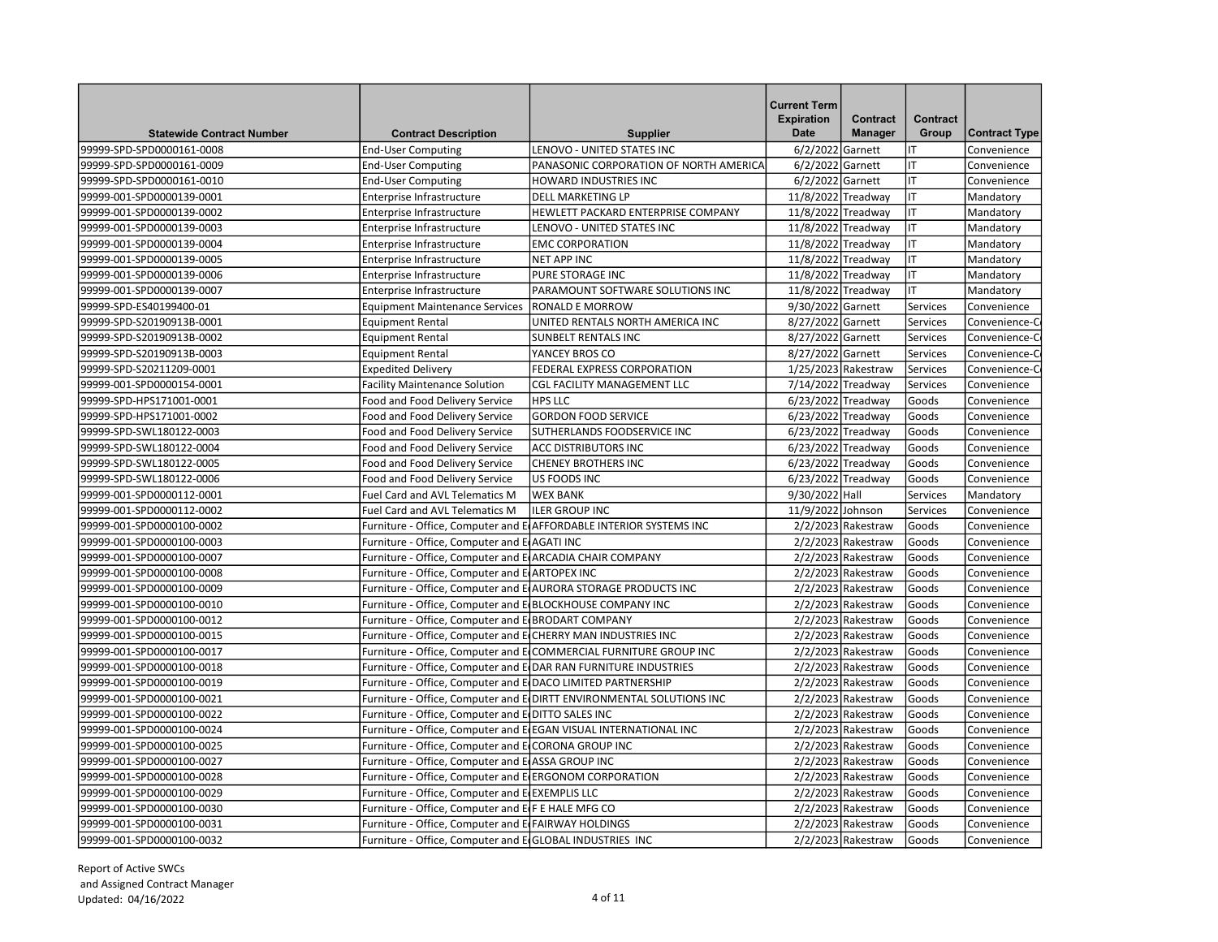| <b>Statewide Contract Number</b>                       | <b>Contract Description</b>                                      | <b>Supplier</b>                                                                                                                     | <b>Current Term</b><br><b>Expiration</b><br><b>Date</b> | Contract<br><b>Manager</b>                   | Contract<br>Group | <b>Contract Type</b>       |
|--------------------------------------------------------|------------------------------------------------------------------|-------------------------------------------------------------------------------------------------------------------------------------|---------------------------------------------------------|----------------------------------------------|-------------------|----------------------------|
| 99999-SPD-SPD0000161-0008                              | <b>End-User Computing</b>                                        | LENOVO - UNITED STATES INC                                                                                                          | 6/2/2022 Garnett                                        |                                              | IT                | Convenience                |
| 99999-SPD-SPD0000161-0009                              | <b>End-User Computing</b>                                        | PANASONIC CORPORATION OF NORTH AMERICA                                                                                              | 6/2/2022 Garnett                                        |                                              | lıT               | Convenience                |
| 99999-SPD-SPD0000161-0010                              | <b>End-User Computing</b>                                        | HOWARD INDUSTRIES INC                                                                                                               | 6/2/2022 Garnett                                        |                                              | lιτ               | Convenience                |
| 99999-001-SPD0000139-0001                              | Enterprise Infrastructure                                        | <b>DELL MARKETING LP</b>                                                                                                            | 11/8/2022 Treadway                                      |                                              | lιτ               | Mandatory                  |
| 99999-001-SPD0000139-0002                              | Enterprise Infrastructure                                        | HEWLETT PACKARD ENTERPRISE COMPANY                                                                                                  | 11/8/2022 Treadway                                      |                                              | IT                | Mandatory                  |
| 99999-001-SPD0000139-0003                              | Enterprise Infrastructure                                        | LENOVO - UNITED STATES INC                                                                                                          | 11/8/2022 Treadway                                      |                                              | lıt               | Mandatory                  |
| 99999-001-SPD0000139-0004                              | Enterprise Infrastructure                                        | <b>EMC CORPORATION</b>                                                                                                              | 11/8/2022 Treadway                                      |                                              | lıt               | Mandatory                  |
| 99999-001-SPD0000139-0005                              | Enterprise Infrastructure                                        | NET APP INC                                                                                                                         | 11/8/2022 Treadway                                      |                                              | lιτ               | Mandatory                  |
| 99999-001-SPD0000139-0006                              | Enterprise Infrastructure                                        | <b>PURE STORAGE INC</b>                                                                                                             | 11/8/2022 Treadway                                      |                                              | lιτ               | Mandatory                  |
| 99999-001-SPD0000139-0007                              | Enterprise Infrastructure                                        | PARAMOUNT SOFTWARE SOLUTIONS INC                                                                                                    | 11/8/2022 Treadway                                      |                                              | lιτ               | Mandatory                  |
| 99999-SPD-ES40199400-01                                | <b>Equipment Maintenance Services</b>                            | <b>RONALD E MORROW</b>                                                                                                              | 9/30/2022 Garnett                                       |                                              | Services          | Convenience                |
| 99999-SPD-S20190913B-0001                              | <b>Equipment Rental</b>                                          | UNITED RENTALS NORTH AMERICA INC                                                                                                    | 8/27/2022 Garnett                                       |                                              | Services          | Convenience-C              |
| 99999-SPD-S20190913B-0002                              | <b>Equipment Rental</b>                                          | <b>SUNBELT RENTALS INC</b>                                                                                                          | 8/27/2022 Garnett                                       |                                              | Services          | Convenience-C              |
| 99999-SPD-S20190913B-0003                              | <b>Equipment Rental</b>                                          | YANCEY BROS CO                                                                                                                      | 8/27/2022 Garnett                                       |                                              | Services          | Convenience-C              |
| 99999-SPD-S20211209-0001                               | <b>Expedited Delivery</b>                                        | FEDERAL EXPRESS CORPORATION                                                                                                         | 1/25/2023 Rakestraw                                     |                                              | Services          | Convenience-C              |
| 99999-001-SPD0000154-0001                              | <b>Facility Maintenance Solution</b>                             | CGL FACILITY MANAGEMENT LLC                                                                                                         | 7/14/2022 Treadway                                      |                                              | Services          | Convenience                |
| 99999-SPD-HPS171001-0001                               | Food and Food Delivery Service                                   | <b>HPS LLC</b>                                                                                                                      | 6/23/2022 Treadway                                      |                                              | Goods             | Convenience                |
| 99999-SPD-HPS171001-0002                               | Food and Food Delivery Service                                   | <b>GORDON FOOD SERVICE</b>                                                                                                          | 6/23/2022 Treadway                                      |                                              | Goods             | Convenience                |
| 99999-SPD-SWL180122-0003                               |                                                                  | SUTHERLANDS FOODSERVICE INC                                                                                                         | 6/23/2022 Treadway                                      |                                              | Goods             | Convenience                |
| 99999-SPD-SWL180122-0004                               | Food and Food Delivery Service<br>Food and Food Delivery Service | <b>ACC DISTRIBUTORS INC</b>                                                                                                         | 6/23/2022 Treadway                                      |                                              | Goods             | Convenience                |
| 99999-SPD-SWL180122-0005                               |                                                                  | <b>CHENEY BROTHERS INC</b>                                                                                                          | 6/23/2022 Treadway                                      |                                              | Goods             | Convenience                |
| 99999-SPD-SWL180122-0006                               | Food and Food Delivery Service<br>Food and Food Delivery Service | <b>US FOODS INC</b>                                                                                                                 | 6/23/2022 Treadway                                      |                                              | Goods             | Convenience                |
| 99999-001-SPD0000112-0001                              | Fuel Card and AVL Telematics M                                   | <b>WEX BANK</b>                                                                                                                     | 9/30/2022 Hall                                          |                                              |                   | Mandatory                  |
|                                                        | <b>Fuel Card and AVL Telematics M</b>                            | <b>ILER GROUP INC</b>                                                                                                               | 11/9/2022 Johnson                                       |                                              | Services          |                            |
| 99999-001-SPD0000112-0002<br>99999-001-SPD0000100-0002 |                                                                  | Furniture - Office, Computer and E AFFORDABLE INTERIOR SYSTEMS INC                                                                  |                                                         | $2/2/2023$ Rakestraw                         | Services<br>Goods | Convenience                |
|                                                        |                                                                  |                                                                                                                                     |                                                         |                                              |                   | Convenience                |
| 99999-001-SPD0000100-0003<br>99999-001-SPD0000100-0007 | Furniture - Office, Computer and E AGATI INC                     |                                                                                                                                     |                                                         | $2/2/2023$ Rakestraw<br>$2/2/2023$ Rakestraw | Goods<br>Goods    | Convenience                |
|                                                        | Furniture - Office, Computer and E ARCADIA CHAIR COMPANY         |                                                                                                                                     |                                                         |                                              |                   | Convenience                |
| 99999-001-SPD0000100-0008                              | Furniture - Office, Computer and E ARTOPEX INC                   |                                                                                                                                     |                                                         | $2/2/2023$ Rakestraw                         | Goods             | Convenience                |
| 99999-001-SPD0000100-0009                              |                                                                  | Furniture - Office, Computer and E AURORA STORAGE PRODUCTS INC                                                                      |                                                         | $2/2/2023$ Rakestraw                         | Goods             | Convenience                |
| 99999-001-SPD0000100-0010<br>99999-001-SPD0000100-0012 | Furniture - Office, Computer and E BLOCKHOUSE COMPANY INC        |                                                                                                                                     |                                                         | $2/2/2023$ Rakestraw<br>$2/2/2023$ Rakestraw | Goods<br>Goods    | Convenience                |
|                                                        | Furniture - Office, Computer and E BRODART COMPANY               |                                                                                                                                     |                                                         |                                              | Goods             | Convenience                |
| 99999-001-SPD0000100-0015                              | Furniture - Office, Computer and E(CHERRY MAN INDUSTRIES INC     |                                                                                                                                     |                                                         | $2/2/2023$ Rakestraw                         |                   | Convenience                |
| 99999-001-SPD0000100-0017                              |                                                                  | Furniture - Office, Computer and ECOMMERCIAL FURNITURE GROUP INC<br>Furniture - Office, Computer and E DAR RAN FURNITURE INDUSTRIES |                                                         | $2/2/2023$ Rakestraw                         | Goods<br>Goods    | Convenience<br>Convenience |
| 99999-001-SPD0000100-0018<br>99999-001-SPD0000100-0019 | Furniture - Office, Computer and E DACO LIMITED PARTNERSHIP      |                                                                                                                                     |                                                         | 2/2/2023 Rakestraw<br>2/2/2023 Rakestraw     | Goods             |                            |
| 99999-001-SPD0000100-0021                              |                                                                  | Furniture - Office, Computer and E DIRTT ENVIRONMENTAL SOLUTIONS INC                                                                |                                                         | $2/2/2023$ Rakestraw                         | Goods             | Convenience<br>Convenience |
|                                                        | Furniture - Office, Computer and E DITTO SALES INC               |                                                                                                                                     |                                                         | $2/2/2023$ Rakestraw                         | Goods             | Convenience                |
| 99999-001-SPD0000100-0022                              |                                                                  |                                                                                                                                     |                                                         |                                              |                   |                            |
| 99999-001-SPD0000100-0024                              |                                                                  | Furniture - Office, Computer and E EGAN VISUAL INTERNATIONAL INC                                                                    |                                                         | $2/2/2023$ Rakestraw<br>$2/2/2023$ Rakestraw | Goods             | Convenience                |
| 99999-001-SPD0000100-0025                              | Furniture - Office, Computer and ECORONA GROUP INC               |                                                                                                                                     |                                                         |                                              | Goods             | Convenience                |
| 99999-001-SPD0000100-0027                              | Furniture - Office, Computer and E ASSA GROUP INC                |                                                                                                                                     |                                                         | $2/2/2023$ Rakestraw                         | Goods             | Convenience                |
| 99999-001-SPD0000100-0028                              | Furniture - Office, Computer and E ERGONOM CORPORATION           |                                                                                                                                     |                                                         | $2/2/2023$ Rakestraw                         | Goods             | Convenience                |
| 99999-001-SPD0000100-0029                              | Furniture - Office, Computer and E EXEMPLIS LLC                  |                                                                                                                                     |                                                         | $2/2/2023$ Rakestraw                         | Goods             | Convenience                |
| 99999-001-SPD0000100-0030                              | Furniture - Office, Computer and E F E HALE MFG CO               |                                                                                                                                     |                                                         | $2/2/2023$ Rakestraw                         | Goods             | Convenience                |
| 99999-001-SPD0000100-0031                              | Furniture - Office, Computer and ElFAIRWAY HOLDINGS              |                                                                                                                                     |                                                         | $2/2/2023$ Rakestraw                         | Goods             | Convenience                |
| 99999-001-SPD0000100-0032                              | Furniture - Office, Computer and E GLOBAL INDUSTRIES INC         |                                                                                                                                     |                                                         | $2/2/2023$ Rakestraw                         | Goods             | Convenience                |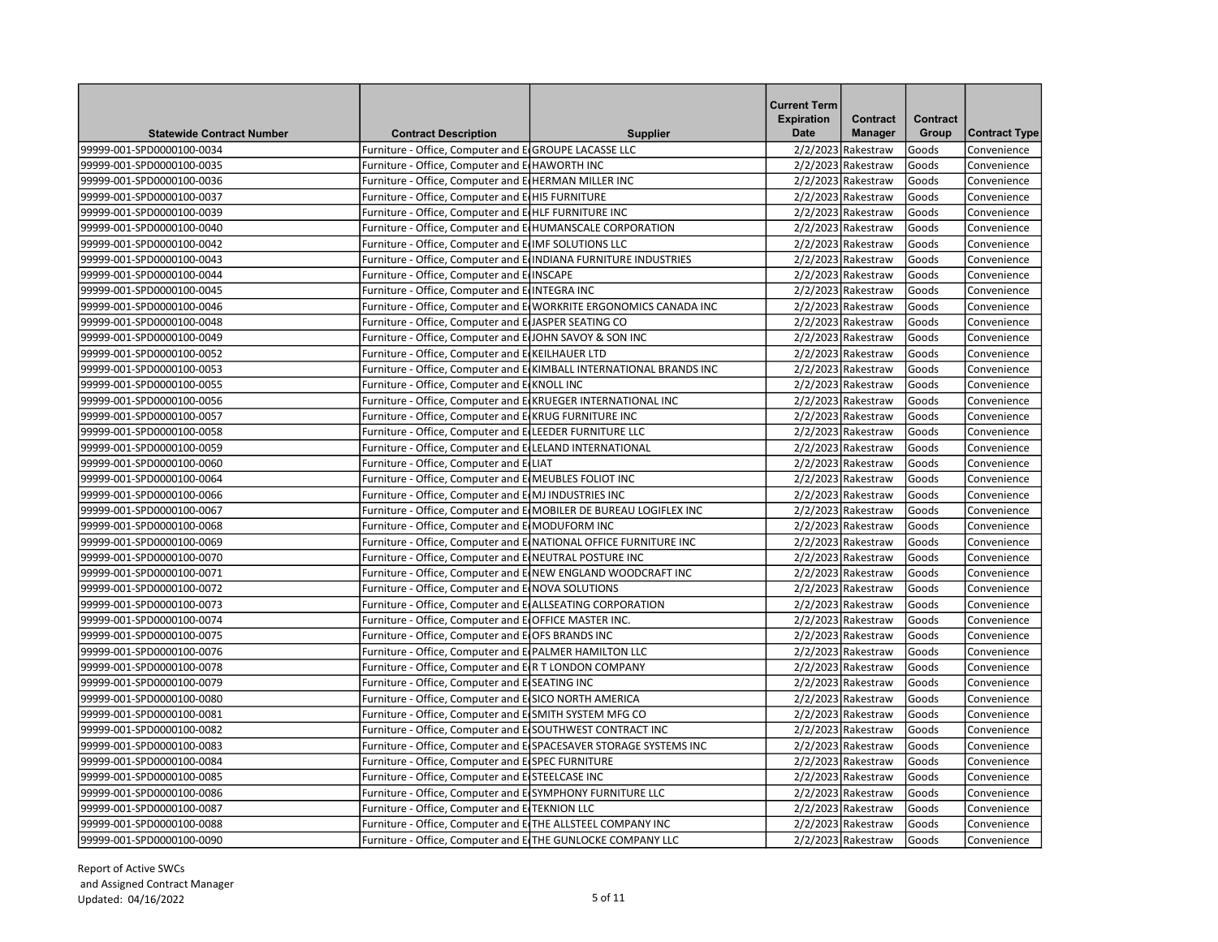| <b>Statewide Contract Number</b> | <b>Contract Description</b>                                      | <b>Supplier</b>                                                     | <b>Current Term</b><br><b>Expiration</b><br>Date | Contract<br><b>Manager</b> | <b>Contract</b><br>Group | <b>Contract Type</b> |
|----------------------------------|------------------------------------------------------------------|---------------------------------------------------------------------|--------------------------------------------------|----------------------------|--------------------------|----------------------|
| 99999-001-SPD0000100-0034        | Furniture - Office, Computer and E GROUPE LACASSE LLC            |                                                                     |                                                  | $2/2/2023$ Rakestraw       | Goods                    | Convenience          |
| 99999-001-SPD0000100-0035        | Furniture - Office, Computer and E HAWORTH INC                   |                                                                     |                                                  | $2/2/2023$ Rakestraw       | Goods                    | Convenience          |
| 99999-001-SPD0000100-0036        | Furniture - Office, Computer and E HERMAN MILLER INC             |                                                                     |                                                  | $2/2/2023$ Rakestraw       | Goods                    | Convenience          |
| 99999-001-SPD0000100-0037        | Furniture - Office, Computer and E HI5 FURNITURE                 |                                                                     |                                                  | $2/2/2023$ Rakestraw       | Goods                    | Convenience          |
| 99999-001-SPD0000100-0039        | Furniture - Office, Computer and E HLF FURNITURE INC             |                                                                     |                                                  | $2/2/2023$ Rakestraw       | Goods                    | Convenience          |
| 99999-001-SPD0000100-0040        | Furniture - Office, Computer and E HUMANSCALE CORPORATION        |                                                                     |                                                  | $2/2/2023$ Rakestraw       | Goods                    | Convenience          |
| 99999-001-SPD0000100-0042        | Furniture - Office, Computer and E IMF SOLUTIONS LLC             |                                                                     |                                                  | $2/2/2023$ Rakestraw       | Goods                    | Convenience          |
| 99999-001-SPD0000100-0043        | Furniture - Office, Computer and E INDIANA FURNITURE INDUSTRIES  |                                                                     |                                                  | $2/2/2023$ Rakestraw       | Goods                    | Convenience          |
| 99999-001-SPD0000100-0044        | Furniture - Office, Computer and E INSCAPE                       |                                                                     |                                                  | $2/2/2023$ Rakestraw       | Goods                    | Convenience          |
| 99999-001-SPD0000100-0045        | Furniture - Office, Computer and E INTEGRA INC                   |                                                                     |                                                  | $2/2/2023$ Rakestraw       | Goods                    | Convenience          |
| 99999-001-SPD0000100-0046        |                                                                  | Furniture - Office, Computer and E WORKRITE ERGONOMICS CANADA INC   |                                                  | $2/2/2023$ Rakestraw       | Goods                    | Convenience          |
| 99999-001-SPD0000100-0048        | Furniture - Office, Computer and EUASPER SEATING CO              |                                                                     |                                                  | $2/2/2023$ Rakestraw       | Goods                    | Convenience          |
| 99999-001-SPD0000100-0049        | Furniture - Office, Computer and E JOHN SAVOY & SON INC          |                                                                     |                                                  | $2/2/2023$ Rakestraw       | Goods                    | Convenience          |
| 99999-001-SPD0000100-0052        | Furniture - Office, Computer and E KEILHAUER LTD                 |                                                                     |                                                  | $2/2/2023$ Rakestraw       | Goods                    | Convenience          |
| 99999-001-SPD0000100-0053        |                                                                  | Furniture - Office, Computer and E KIMBALL INTERNATIONAL BRANDS INC |                                                  | $2/2/2023$ Rakestraw       | Goods                    | Convenience          |
| 99999-001-SPD0000100-0055        | Furniture - Office, Computer and E KNOLL INC                     |                                                                     |                                                  | $2/2/2023$ Rakestraw       | Goods                    | Convenience          |
| 99999-001-SPD0000100-0056        | Furniture - Office, Computer and E KRUEGER INTERNATIONAL INC     |                                                                     |                                                  | $2/2/2023$ Rakestraw       | Goods                    | Convenience          |
| 99999-001-SPD0000100-0057        | Furniture - Office, Computer and E(KRUG FURNITURE INC            |                                                                     |                                                  | $2/2/2023$ Rakestraw       | Goods                    | Convenience          |
| 99999-001-SPD0000100-0058        | Furniture - Office, Computer and E LEEDER FURNITURE LLC          |                                                                     |                                                  | $2/2/2023$ Rakestraw       | Goods                    | Convenience          |
| 99999-001-SPD0000100-0059        | Furniture - Office, Computer and E LELAND INTERNATIONAL          |                                                                     |                                                  | $2/2/2023$ Rakestraw       | Goods                    | Convenience          |
| 99999-001-SPD0000100-0060        | Furniture - Office, Computer and ELIAT                           |                                                                     |                                                  | $2/2/2023$ Rakestraw       | Goods                    | Convenience          |
| 99999-001-SPD0000100-0064        | Furniture - Office, Computer and E MEUBLES FOLIOT INC            |                                                                     |                                                  | $2/2/2023$ Rakestraw       | Goods                    | Convenience          |
| 99999-001-SPD0000100-0066        | Furniture - Office, Computer and E(MJ INDUSTRIES INC             |                                                                     |                                                  | $2/2/2023$ Rakestraw       | Goods                    | Convenience          |
| 99999-001-SPD0000100-0067        |                                                                  | Furniture - Office, Computer and E MOBILER DE BUREAU LOGIFLEX INC   |                                                  | $2/2/2023$ Rakestraw       | Goods                    | Convenience          |
| 99999-001-SPD0000100-0068        | Furniture - Office, Computer and E MODUFORM INC                  |                                                                     |                                                  | $2/2/2023$ Rakestraw       | Goods                    | Convenience          |
| 99999-001-SPD0000100-0069        | Furniture - Office, Computer and E NATIONAL OFFICE FURNITURE INC |                                                                     |                                                  | $2/2/2023$ Rakestraw       | Goods                    | Convenience          |
| 99999-001-SPD0000100-0070        | Furniture - Office, Computer and E NEUTRAL POSTURE INC           |                                                                     |                                                  | $2/2/2023$ Rakestraw       | Goods                    | Convenience          |
| 99999-001-SPD0000100-0071        | Furniture - Office, Computer and E NEW ENGLAND WOODCRAFT INC     |                                                                     |                                                  | $2/2/2023$ Rakestraw       | Goods                    | Convenience          |
| 99999-001-SPD0000100-0072        | Furniture - Office, Computer and E NOVA SOLUTIONS                |                                                                     |                                                  | $2/2/2023$ Rakestraw       | Goods                    | Convenience          |
| 99999-001-SPD0000100-0073        | Furniture - Office, Computer and E ALLSEATING CORPORATION        |                                                                     |                                                  | $2/2/2023$ Rakestraw       | Goods                    | Convenience          |
| 99999-001-SPD0000100-0074        | Furniture - Office, Computer and E   OFFICE MASTER INC.          |                                                                     |                                                  | $2/2/2023$ Rakestraw       | Goods                    | Convenience          |
| 99999-001-SPD0000100-0075        | Furniture - Office, Computer and E OFS BRANDS INC                |                                                                     |                                                  | $2/2/2023$ Rakestraw       | Goods                    | Convenience          |
| 99999-001-SPD0000100-0076        | Furniture - Office, Computer and E PALMER HAMILTON LLC           |                                                                     |                                                  | $2/2/2023$ Rakestraw       | Goods                    | Convenience          |
| 99999-001-SPD0000100-0078        | Furniture - Office, Computer and E(R T LONDON COMPANY            |                                                                     |                                                  | $2/2/2023$ Rakestraw       | Goods                    | Convenience          |
| 99999-001-SPD0000100-0079        | Furniture - Office, Computer and E SEATING INC                   |                                                                     |                                                  | $2/2/2023$ Rakestraw       | Goods                    | Convenience          |
| 99999-001-SPD0000100-0080        | Furniture - Office, Computer and E SICO NORTH AMERICA            |                                                                     |                                                  | $2/2/2023$ Rakestraw       | Goods                    | Convenience          |
| 99999-001-SPD0000100-0081        | Furniture - Office, Computer and E(SMITH SYSTEM MFG CO           |                                                                     |                                                  | 2/2/2023 Rakestraw         | Goods                    | Convenience          |
| 99999-001-SPD0000100-0082        | Furniture - Office, Computer and E SOUTHWEST CONTRACT INC        |                                                                     |                                                  | $2/2/2023$ Rakestraw       | Goods                    | Convenience          |
| 99999-001-SPD0000100-0083        |                                                                  | Furniture - Office, Computer and E SPACESAVER STORAGE SYSTEMS INC   |                                                  | $2/2/2023$ Rakestraw       | Goods                    | Convenience          |
| 99999-001-SPD0000100-0084        | Furniture - Office, Computer and E SPEC FURNITURE                |                                                                     |                                                  | $2/2/2023$ Rakestraw       | Goods                    | Convenience          |
| 99999-001-SPD0000100-0085        | Furniture - Office, Computer and E STEELCASE INC                 |                                                                     |                                                  | $2/2/2023$ Rakestraw       | Goods                    | Convenience          |
| 99999-001-SPD0000100-0086        | Furniture - Office, Computer and E(SYMPHONY FURNITURE LLC        |                                                                     |                                                  | $2/2/2023$ Rakestraw       | Goods                    | Convenience          |
| 99999-001-SPD0000100-0087        | Furniture - Office, Computer and ElTEKNION LLC                   |                                                                     |                                                  | $2/2/2023$ Rakestraw       | Goods                    | Convenience          |
| 99999-001-SPD0000100-0088        | Furniture - Office, Computer and E THE ALLSTEEL COMPANY INC      |                                                                     |                                                  | $2/2/2023$ Rakestraw       | Goods                    | Convenience          |
| 99999-001-SPD0000100-0090        | Furniture - Office, Computer and E THE GUNLOCKE COMPANY LLC      |                                                                     |                                                  | $2/2/2023$ Rakestraw       | Goods                    | Convenience          |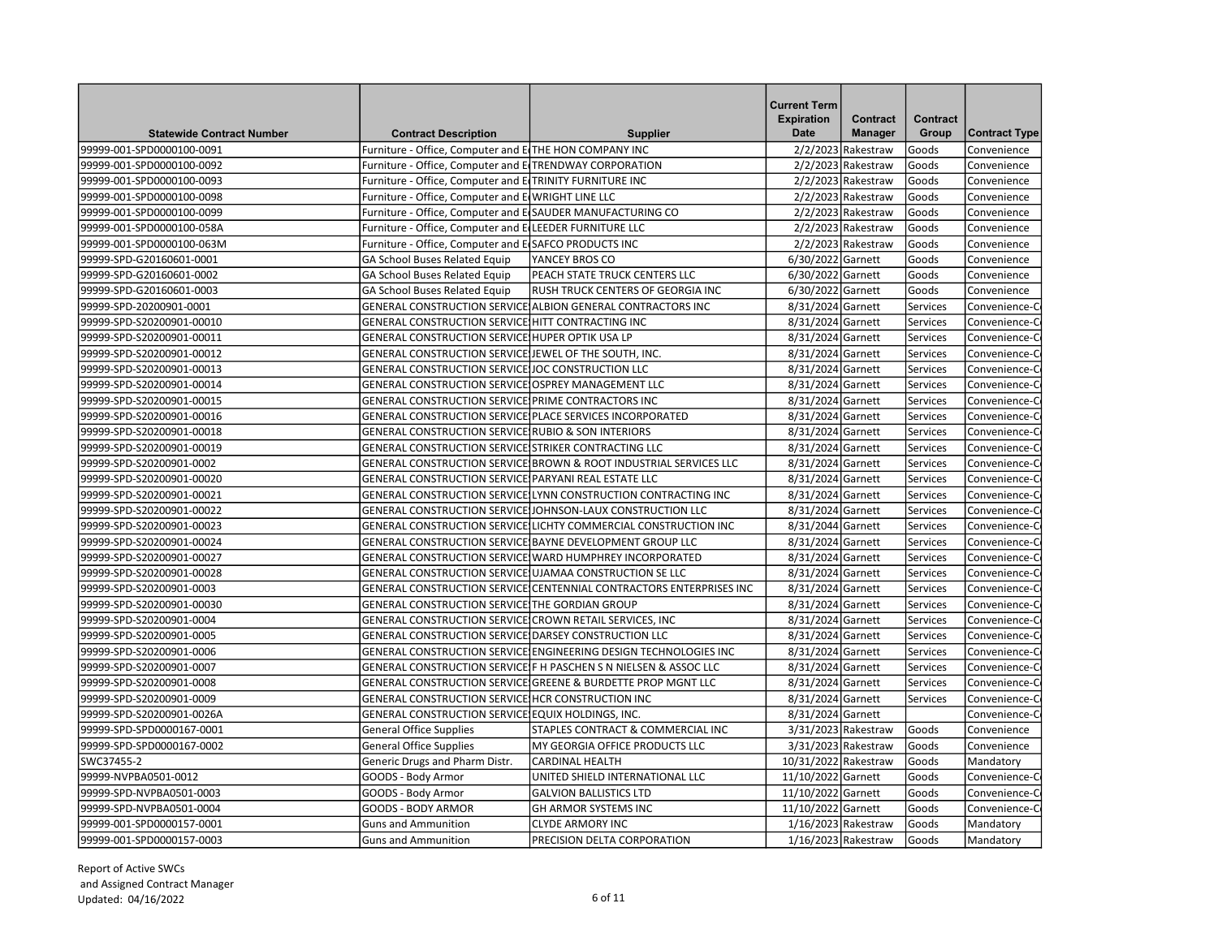| <b>Statewide Contract Number</b> | <b>Contract Description</b>                                | <b>Supplier</b>                                                     | <b>Current Term</b><br><b>Expiration</b><br><b>Date</b> | Contract<br><b>Manager</b> | Contract<br>Group | <b>Contract Type</b> |
|----------------------------------|------------------------------------------------------------|---------------------------------------------------------------------|---------------------------------------------------------|----------------------------|-------------------|----------------------|
| 99999-001-SPD0000100-0091        | Furniture - Office, Computer and E THE HON COMPANY INC     |                                                                     |                                                         | $2/2/2023$ Rakestraw       | Goods             | Convenience          |
| 99999-001-SPD0000100-0092        | Furniture - Office, Computer and E TRENDWAY CORPORATION    |                                                                     |                                                         | $2/2/2023$ Rakestraw       | Goods             | Convenience          |
| 99999-001-SPD0000100-0093        | Furniture - Office, Computer and E TRINITY FURNITURE INC   |                                                                     |                                                         | $2/2/2023$ Rakestraw       | Goods             | Convenience          |
| 99999-001-SPD0000100-0098        | Furniture - Office, Computer and E WRIGHT LINE LLC         |                                                                     |                                                         | $2/2/2023$ Rakestraw       | Goods             | Convenience          |
| 99999-001-SPD0000100-0099        | Furniture - Office, Computer and E(SAUDER MANUFACTURING CO |                                                                     |                                                         | $2/2/2023$ Rakestraw       | Goods             | Convenience          |
| 99999-001-SPD0000100-058A        | Furniture - Office, Computer and E LEEDER FURNITURE LLC    |                                                                     |                                                         | $2/2/2023$ Rakestraw       | <b>Goods</b>      | Convenience          |
| 99999-001-SPD0000100-063M        | Furniture - Office, Computer and E SAFCO PRODUCTS INC      |                                                                     |                                                         | $2/2/2023$ Rakestraw       | Goods             | Convenience          |
| 99999-SPD-G20160601-0001         | GA School Buses Related Equip                              | YANCEY BROS CO                                                      | 6/30/2022 Garnett                                       |                            | Goods             | Convenience          |
| 99999-SPD-G20160601-0002         | <b>GA School Buses Related Equip</b>                       | PEACH STATE TRUCK CENTERS LLC                                       | 6/30/2022 Garnett                                       |                            | Goods             | Convenience          |
| 99999-SPD-G20160601-0003         | <b>GA School Buses Related Equip</b>                       | RUSH TRUCK CENTERS OF GEORGIA INC                                   | 6/30/2022 Garnett                                       |                            | Goods             | Convenience          |
| 99999-SPD-20200901-0001          |                                                            | GENERAL CONSTRUCTION SERVICE ALBION GENERAL CONTRACTORS INC         | 8/31/2024 Garnett                                       |                            | Services          | Convenience-C        |
| 99999-SPD-S20200901-00010        | GENERAL CONSTRUCTION SERVICE HITT CONTRACTING INC          |                                                                     | 8/31/2024 Garnett                                       |                            | Services          | Convenience-C        |
| 99999-SPD-S20200901-00011        | GENERAL CONSTRUCTION SERVICE HUPER OPTIK USA LP            |                                                                     | 8/31/2024 Garnett                                       |                            | Services          | Convenience-C        |
| 99999-SPD-S20200901-00012        | GENERAL CONSTRUCTION SERVICE JEWEL OF THE SOUTH, INC.      |                                                                     | 8/31/2024 Garnett                                       |                            | Services          | Convenience-C        |
| 99999-SPD-S20200901-00013        | GENERAL CONSTRUCTION SERVICE IOC CONSTRUCTION LLC          |                                                                     | 8/31/2024 Garnett                                       |                            | Services          | Convenience-C        |
| 99999-SPD-S20200901-00014        | GENERAL CONSTRUCTION SERVICE OSPREY MANAGEMENT LLC         |                                                                     | 8/31/2024 Garnett                                       |                            | Services          | Convenience-C        |
| 99999-SPD-S20200901-00015        | GENERAL CONSTRUCTION SERVICE PRIME CONTRACTORS INC         |                                                                     | 8/31/2024 Garnett                                       |                            | Services          | Convenience-C        |
| 99999-SPD-S20200901-00016        | GENERAL CONSTRUCTION SERVICE PLACE SERVICES INCORPORATED   |                                                                     | 8/31/2024 Garnett                                       |                            | Services          | Convenience-C        |
| 99999-SPD-S20200901-00018        | GENERAL CONSTRUCTION SERVICE RUBIO & SON INTERIORS         |                                                                     | 8/31/2024 Garnett                                       |                            | Services          | Convenience-C        |
| 99999-SPD-S20200901-00019        | GENERAL CONSTRUCTION SERVICE STRIKER CONTRACTING LLC       |                                                                     | 8/31/2024 Garnett                                       |                            | Services          | Convenience-C        |
| 99999-SPD-S20200901-0002         |                                                            | GENERAL CONSTRUCTION SERVICE BROWN & ROOT INDUSTRIAL SERVICES LLC   | 8/31/2024 Garnett                                       |                            | Services          | Convenience-C        |
| 99999-SPD-S20200901-00020        | GENERAL CONSTRUCTION SERVICE PARYANI REAL ESTATE LLC       |                                                                     | 8/31/2024 Garnett                                       |                            | Services          | Convenience-C        |
| 99999-SPD-S20200901-00021        |                                                            | GENERAL CONSTRUCTION SERVICE LYNN CONSTRUCTION CONTRACTING INC      | 8/31/2024 Garnett                                       |                            | Services          | Convenience-C        |
| 99999-SPD-S20200901-00022        |                                                            | GENERAL CONSTRUCTION SERVICE JJOHNSON-LAUX CONSTRUCTION LLC         | 8/31/2024 Garnett                                       |                            | Services          | Convenience-C        |
| 99999-SPD-S20200901-00023        |                                                            | GENERAL CONSTRUCTION SERVICE LICHTY COMMERCIAL CONSTRUCTION INC     | 8/31/2044 Garnett                                       |                            | Services          | Convenience-C        |
| 99999-SPD-S20200901-00024        |                                                            | GENERAL CONSTRUCTION SERVICE(BAYNE DEVELOPMENT GROUP LLC            | 8/31/2024 Garnett                                       |                            | Services          | Convenience-C        |
| 99999-SPD-S20200901-00027        |                                                            | GENERAL CONSTRUCTION SERVICE WARD HUMPHREY INCORPORATED             | 8/31/2024 Garnett                                       |                            | Services          | Convenience-C        |
| 99999-SPD-S20200901-00028        | GENERAL CONSTRUCTION SERVICE UJAMAA CONSTRUCTION SE LLC    |                                                                     | 8/31/2024 Garnett                                       |                            | Services          | Convenience-C        |
| 99999-SPD-S20200901-0003         |                                                            | GENERAL CONSTRUCTION SERVICE CENTENNIAL CONTRACTORS ENTERPRISES INC | 8/31/2024 Garnett                                       |                            | Services          | Convenience-C        |
| 99999-SPD-S20200901-00030        | GENERAL CONSTRUCTION SERVICE THE GORDIAN GROUP             |                                                                     | 8/31/2024 Garnett                                       |                            | Services          | Convenience-C        |
| 99999-SPD-S20200901-0004         | GENERAL CONSTRUCTION SERVICE CROWN RETAIL SERVICES, INC    |                                                                     | 8/31/2024 Garnett                                       |                            | Services          | Convenience-C        |
| 99999-SPD-S20200901-0005         | GENERAL CONSTRUCTION SERVICE DARSEY CONSTRUCTION LLC       |                                                                     | 8/31/2024 Garnett                                       |                            | Services          | Convenience-C        |
| 99999-SPD-S20200901-0006         |                                                            | GENERAL CONSTRUCTION SERVICE ENGINEERING DESIGN TECHNOLOGIES INC    | 8/31/2024 Garnett                                       |                            | Services          | Convenience-C        |
| 99999-SPD-S20200901-0007         |                                                            | GENERAL CONSTRUCTION SERVICE F H PASCHEN S N NIELSEN & ASSOC LLC    | 8/31/2024 Garnett                                       |                            | Services          | Convenience-C        |
| 99999-SPD-S20200901-0008         |                                                            | GENERAL CONSTRUCTION SERVICE GREENE & BURDETTE PROP MGNT LLC        | 8/31/2024 Garnett                                       |                            | Services          | Convenience-C        |
| 99999-SPD-S20200901-0009         | GENERAL CONSTRUCTION SERVICE HCR CONSTRUCTION INC          |                                                                     | 8/31/2024 Garnett                                       |                            | Services          | Convenience-C        |
| 99999-SPD-S20200901-0026A        | GENERAL CONSTRUCTION SERVICE EQUIX HOLDINGS, INC.          |                                                                     | 8/31/2024 Garnett                                       |                            |                   | Convenience-C        |
| 99999-SPD-SPD0000167-0001        | <b>General Office Supplies</b>                             | STAPLES CONTRACT & COMMERCIAL INC                                   |                                                         | 3/31/2023 Rakestraw        | Goods             | Convenience          |
| 99999-SPD-SPD0000167-0002        | <b>General Office Supplies</b>                             | MY GEORGIA OFFICE PRODUCTS LLC                                      | 3/31/2023 Rakestraw                                     |                            | Goods             | Convenience          |
| SWC37455-2                       | Generic Drugs and Pharm Distr.                             | <b>CARDINAL HEALTH</b>                                              | 10/31/2022 Rakestraw                                    |                            | Goods             | Mandatory            |
| 99999-NVPBA0501-0012             | GOODS - Body Armor                                         | UNITED SHIELD INTERNATIONAL LLC                                     | 11/10/2022 Garnett                                      |                            | Goods             | Convenience-C        |
| 99999-SPD-NVPBA0501-0003         | GOODS - Body Armor                                         | <b>GALVION BALLISTICS LTD</b>                                       | 11/10/2022 Garnett                                      |                            | Goods             | Convenience-C        |
| 99999-SPD-NVPBA0501-0004         | <b>GOODS - BODY ARMOR</b>                                  | <b>GH ARMOR SYSTEMS INC</b>                                         | 11/10/2022 Garnett                                      |                            | Goods             | Convenience-C        |
| 99999-001-SPD0000157-0001        | Guns and Ammunition                                        | <b>CLYDE ARMORY INC</b>                                             | 1/16/2023 Rakestraw                                     |                            | lGoods            | Mandatory            |
| 99999-001-SPD0000157-0003        | <b>Guns and Ammunition</b>                                 | PRECISION DELTA CORPORATION                                         |                                                         | $1/16/2023$ Rakestraw      | Goods             | Mandatory            |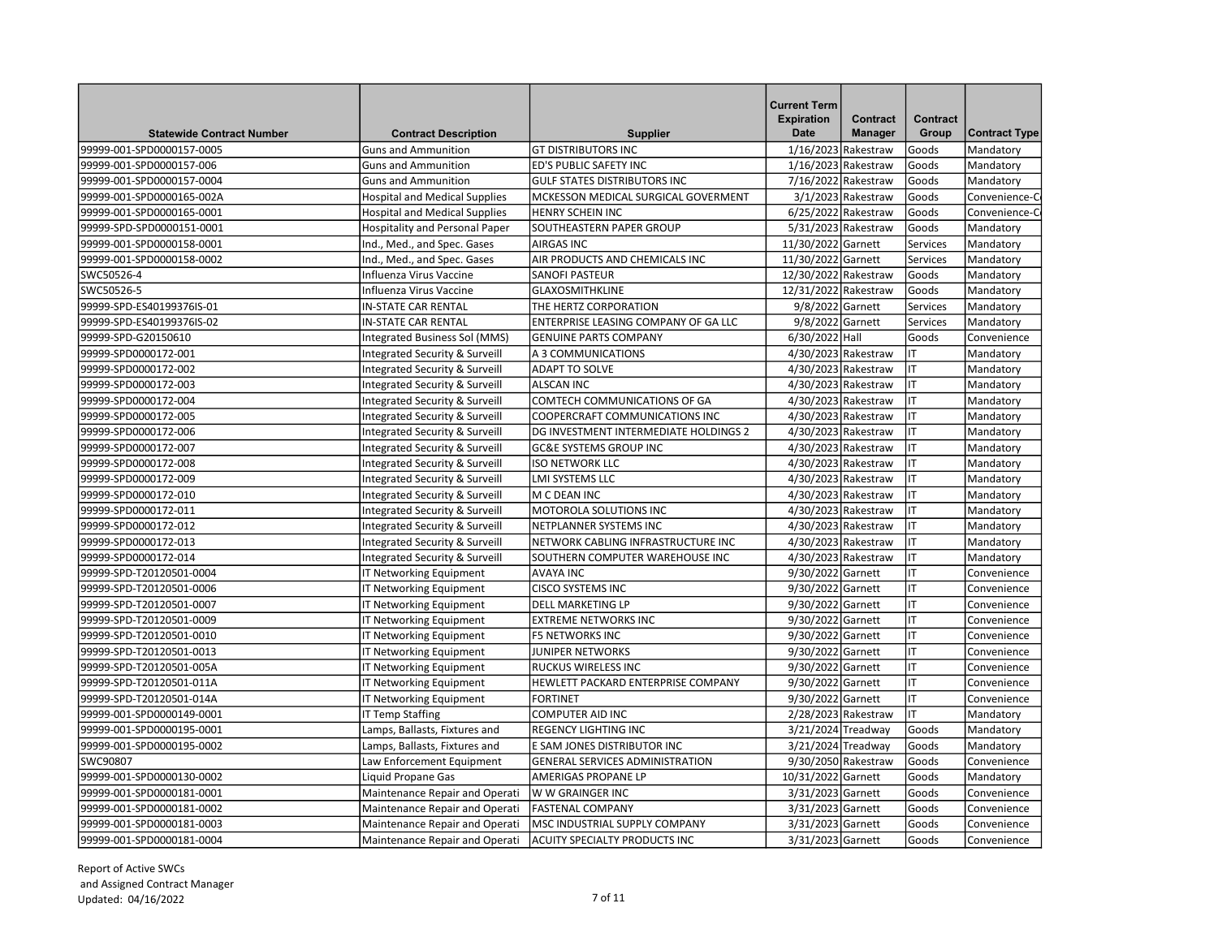| <b>Statewide Contract Number</b><br><b>Contract Description</b>   | <b>Supplier</b>                        | <b>Current Term</b><br><b>Expiration</b><br><b>Date</b> | <b>Contract</b><br><b>Manager</b> | Contract<br>Group | <b>Contract Type</b> |
|-------------------------------------------------------------------|----------------------------------------|---------------------------------------------------------|-----------------------------------|-------------------|----------------------|
| <b>Guns and Ammunition</b><br>99999-001-SPD0000157-0005           | <b>GT DISTRIBUTORS INC</b>             | 1/16/2023 Rakestraw                                     |                                   | Goods             | Mandatory            |
| 99999-001-SPD0000157-006<br><b>Guns and Ammunition</b>            | ED'S PUBLIC SAFETY INC                 | 1/16/2023 Rakestraw                                     |                                   | Goods             | Mandatory            |
| 99999-001-SPD0000157-0004<br><b>Guns and Ammunition</b>           | <b>GULF STATES DISTRIBUTORS INC</b>    |                                                         | 7/16/2022 Rakestraw               | Goods             | Mandatory            |
| 99999-001-SPD0000165-002A<br><b>Hospital and Medical Supplies</b> | MCKESSON MEDICAL SURGICAL GOVERMENT    |                                                         | $3/1/2023$ Rakestraw              | Goods             | Convenience-C        |
| 99999-001-SPD0000165-0001<br><b>Hospital and Medical Supplies</b> | <b>HENRY SCHEIN INC</b>                | 6/25/2022 Rakestraw                                     |                                   | Goods             | Convenience-C        |
| Hospitality and Personal Paper<br>99999-SPD-SPD0000151-0001       | SOUTHEASTERN PAPER GROUP               | 5/31/2023 Rakestraw                                     |                                   | Goods             | Mandatory            |
| 99999-001-SPD0000158-0001<br>Ind., Med., and Spec. Gases          | <b>AIRGAS INC</b>                      | 11/30/2022 Garnett                                      |                                   | Services          | Mandatory            |
| 99999-001-SPD0000158-0002<br>Ind., Med., and Spec. Gases          | AIR PRODUCTS AND CHEMICALS INC         | 11/30/2022 Garnett                                      |                                   | Services          | Mandatory            |
| SWC50526-4<br>Influenza Virus Vaccine                             | <b>SANOFI PASTEUR</b>                  | 12/30/2022 Rakestraw                                    |                                   | Goods             | Mandatory            |
| SWC50526-5<br>Influenza Virus Vaccine                             | <b>GLAXOSMITHKLINE</b>                 | 12/31/2022 Rakestraw                                    |                                   | Goods             | Mandatory            |
| 99999-SPD-ES40199376IS-01<br><b>IN-STATE CAR RENTAL</b>           | THE HERTZ CORPORATION                  | 9/8/2022 Garnett                                        |                                   | Services          | Mandatory            |
| 99999-SPD-ES40199376IS-02<br><b>IN-STATE CAR RENTAL</b>           | ENTERPRISE LEASING COMPANY OF GA LLC   | 9/8/2022 Garnett                                        |                                   | Services          | Mandatory            |
| 99999-SPD-G20150610<br>Integrated Business Sol (MMS)              | <b>GENUINE PARTS COMPANY</b>           | 6/30/2022 Hall                                          |                                   | Goods             | Convenience          |
| 99999-SPD0000172-001<br>Integrated Security & Surveill            | A 3 COMMUNICATIONS                     | 4/30/2023 Rakestraw                                     |                                   | ΙT                | Mandatory            |
| 99999-SPD0000172-002<br>Integrated Security & Surveill            | <b>ADAPT TO SOLVE</b>                  | 4/30/2023 Rakestraw                                     |                                   | IT                | Mandatory            |
| 99999-SPD0000172-003<br>Integrated Security & Surveill            | <b>ALSCAN INC</b>                      | 4/30/2023 Rakestraw                                     |                                   | IT                | Mandatory            |
| 99999-SPD0000172-004<br>Integrated Security & Surveill            | COMTECH COMMUNICATIONS OF GA           | 4/30/2023 Rakestraw                                     |                                   | IT                |                      |
|                                                                   |                                        |                                                         |                                   | IT                | Mandatory            |
| 99999-SPD0000172-005<br>Integrated Security & Surveill            | <b>COOPERCRAFT COMMUNICATIONS INC</b>  | 4/30/2023 Rakestraw                                     |                                   | IT                | Mandatory            |
| 99999-SPD0000172-006<br>Integrated Security & Surveill            | DG INVESTMENT INTERMEDIATE HOLDINGS 2  | 4/30/2023 Rakestraw                                     |                                   | IT                | Mandatory            |
| Integrated Security & Surveill<br>99999-SPD0000172-007            | <b>GC&amp;E SYSTEMS GROUP INC</b>      | 4/30/2023 Rakestraw                                     |                                   |                   | Mandatory            |
| 99999-SPD0000172-008<br>Integrated Security & Surveill            | <b>ISO NETWORK LLC</b>                 | 4/30/2023 Rakestraw                                     |                                   | IT                | Mandatory            |
| 99999-SPD0000172-009<br>Integrated Security & Surveill            | LMI SYSTEMS LLC                        | 4/30/2023 Rakestraw                                     |                                   | IT                | Mandatory            |
| 99999-SPD0000172-010<br>Integrated Security & Surveill            | M C DEAN INC                           | 4/30/2023 Rakestraw                                     |                                   | IT                | Mandatory            |
| 99999-SPD0000172-011<br>Integrated Security & Surveill            | MOTOROLA SOLUTIONS INC                 | 4/30/2023 Rakestraw                                     |                                   | IT                | Mandatory            |
| 99999-SPD0000172-012<br>Integrated Security & Surveill            | NETPLANNER SYSTEMS INC                 | 4/30/2023 Rakestraw                                     |                                   | IT                | Mandatory            |
| 99999-SPD0000172-013<br>Integrated Security & Surveill            | NETWORK CABLING INFRASTRUCTURE INC     | 4/30/2023 Rakestraw                                     |                                   | IT                | Mandatory            |
| 99999-SPD0000172-014<br>Integrated Security & Surveill            | SOUTHERN COMPUTER WAREHOUSE INC        | 4/30/2023 Rakestraw                                     |                                   | IT                | Mandatory            |
| 99999-SPD-T20120501-0004<br>IT Networking Equipment               | <b>AVAYA INC</b>                       | 9/30/2022 Garnett                                       |                                   | IT                | Convenience          |
| 99999-SPD-T20120501-0006<br>IT Networking Equipment               | <b>CISCO SYSTEMS INC</b>               | 9/30/2022 Garnett                                       |                                   | IT                | Convenience          |
| 99999-SPD-T20120501-0007<br>IT Networking Equipment               | DELL MARKETING LP                      | 9/30/2022 Garnett                                       |                                   | IT                | Convenience          |
| 99999-SPD-T20120501-0009<br>IT Networking Equipment               | <b>EXTREME NETWORKS INC</b>            | 9/30/2022 Garnett                                       |                                   | IT                | Convenience          |
| 99999-SPD-T20120501-0010<br>IT Networking Equipment               | <b>F5 NETWORKS INC</b>                 | 9/30/2022 Garnett                                       |                                   | IT                | Convenience          |
| 99999-SPD-T20120501-0013<br>IT Networking Equipment               | <b>JUNIPER NETWORKS</b>                | 9/30/2022 Garnett                                       |                                   | IT                | Convenience          |
| IT Networking Equipment<br>99999-SPD-T20120501-005A               | RUCKUS WIRELESS INC                    | 9/30/2022 Garnett                                       |                                   | IT                | Convenience          |
| 99999-SPD-T20120501-011A<br>IT Networking Equipment               | HEWLETT PACKARD ENTERPRISE COMPANY     | 9/30/2022 Garnett                                       |                                   | IT                | Convenience          |
| 99999-SPD-T20120501-014A<br>IT Networking Equipment               | <b>FORTINET</b>                        | 9/30/2022 Garnett                                       |                                   | IT                | Convenience          |
| 99999-001-SPD0000149-0001<br><b>IT Temp Staffing</b>              | <b>COMPUTER AID INC</b>                | 2/28/2023 Rakestraw                                     |                                   | IT                | Mandatory            |
| 99999-001-SPD0000195-0001<br>Lamps, Ballasts, Fixtures and        | <b>REGENCY LIGHTING INC</b>            | 3/21/2024 Treadway                                      |                                   | Goods             | Mandatory            |
| 99999-001-SPD0000195-0002<br>Lamps, Ballasts, Fixtures and        | E SAM JONES DISTRIBUTOR INC            | 3/21/2024 Treadway                                      |                                   | Goods             | Mandatory            |
| SWC90807<br>Law Enforcement Equipment                             | <b>GENERAL SERVICES ADMINISTRATION</b> | 9/30/2050 Rakestraw                                     |                                   | Goods             | Convenience          |
| Liquid Propane Gas<br>99999-001-SPD0000130-0002                   | AMERIGAS PROPANE LP                    | 10/31/2022 Garnett                                      |                                   | Goods             | Mandatory            |
| 99999-001-SPD0000181-0001<br>Maintenance Repair and Operati       | W W GRAINGER INC                       | 3/31/2023 Garnett                                       |                                   | Goods             | Convenience          |
| 99999-001-SPD0000181-0002<br>Maintenance Repair and Operati       | <b>FASTENAL COMPANY</b>                | 3/31/2023 Garnett                                       |                                   | Goods             | Convenience          |
| 99999-001-SPD0000181-0003<br>Maintenance Repair and Operati       | MSC INDUSTRIAL SUPPLY COMPANY          | 3/31/2023 Garnett                                       |                                   | Goods             | Convenience          |
| 99999-001-SPD0000181-0004<br>Maintenance Repair and Operati       | <b>ACUITY SPECIALTY PRODUCTS INC</b>   | 3/31/2023 Garnett                                       |                                   | Goods             | Convenience          |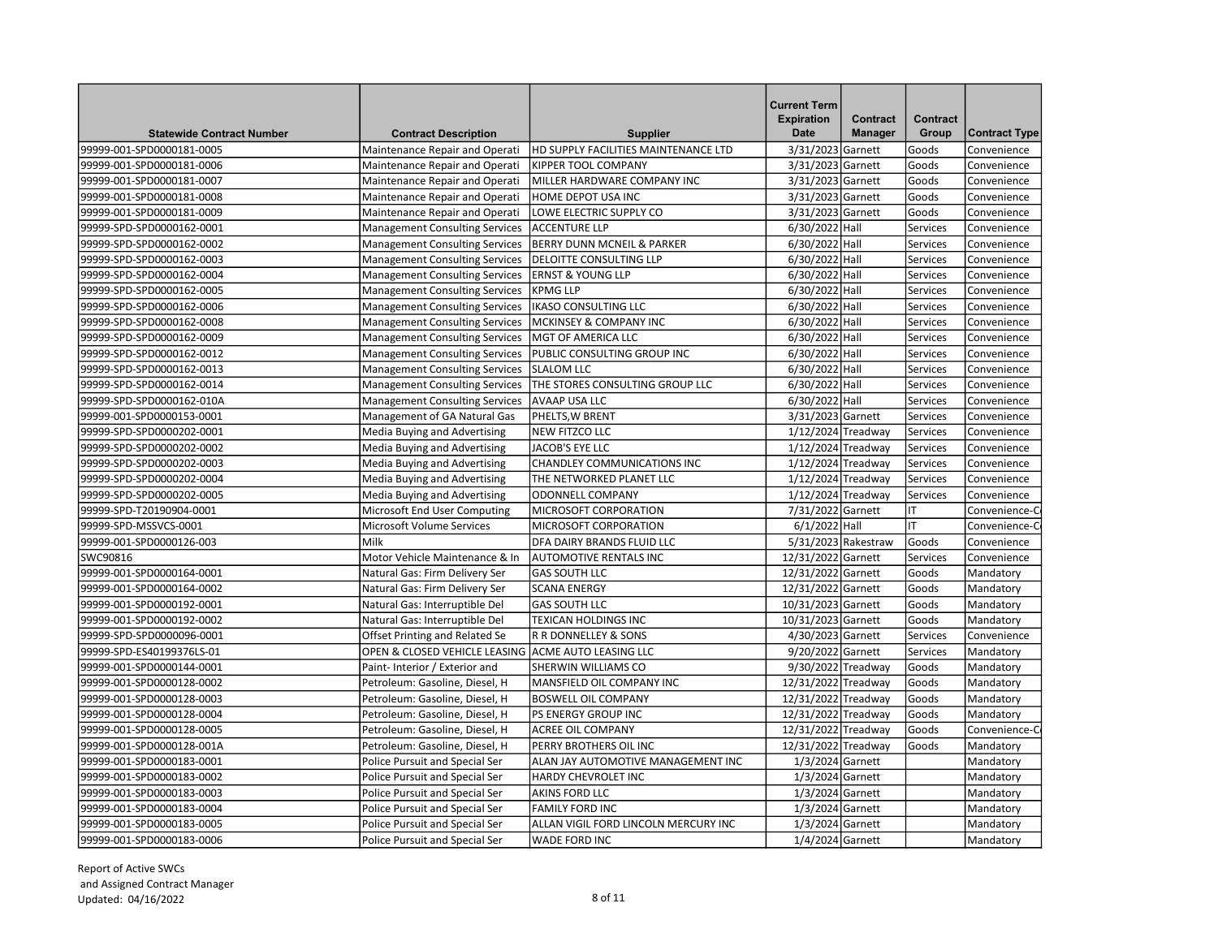| <b>Statewide Contract Number</b> | <b>Contract Description</b>           | <b>Supplier</b>                       | <b>Current Term</b><br><b>Expiration</b><br><b>Date</b> | <b>Contract</b><br><b>Manager</b> | <b>Contract</b><br>Group | <b>Contract Type</b> |
|----------------------------------|---------------------------------------|---------------------------------------|---------------------------------------------------------|-----------------------------------|--------------------------|----------------------|
| 99999-001-SPD0000181-0005        | Maintenance Repair and Operati        | HD SUPPLY FACILITIES MAINTENANCE LTD  | 3/31/2023 Garnett                                       |                                   | Goods                    | Convenience          |
| 99999-001-SPD0000181-0006        | Maintenance Repair and Operati        | <b>KIPPER TOOL COMPANY</b>            | 3/31/2023 Garnett                                       |                                   | Goods                    | Convenience          |
| 99999-001-SPD0000181-0007        | Maintenance Repair and Operati        | MILLER HARDWARE COMPANY INC           | 3/31/2023 Garnett                                       |                                   | Goods                    | Convenience          |
| 99999-001-SPD0000181-0008        | Maintenance Repair and Operati        | HOME DEPOT USA INC                    | 3/31/2023 Garnett                                       |                                   | <b>Goods</b>             | Convenience          |
| 99999-001-SPD0000181-0009        | Maintenance Repair and Operati        | LOWE ELECTRIC SUPPLY CO               | 3/31/2023 Garnett                                       |                                   | Goods                    | Convenience          |
| 99999-SPD-SPD0000162-0001        | <b>Management Consulting Services</b> | <b>ACCENTURE LLP</b>                  | 6/30/2022 Hall                                          |                                   | Services                 | Convenience          |
| 99999-SPD-SPD0000162-0002        | <b>Management Consulting Services</b> | <b>BERRY DUNN MCNEIL &amp; PARKER</b> | 6/30/2022 Hall                                          |                                   | Services                 | Convenience          |
| 99999-SPD-SPD0000162-0003        | <b>Management Consulting Services</b> | <b>DELOITTE CONSULTING LLP</b>        | 6/30/2022 Hall                                          |                                   | Services                 | Convenience          |
| 99999-SPD-SPD0000162-0004        | <b>Management Consulting Services</b> | <b>ERNST &amp; YOUNG LLP</b>          | 6/30/2022 Hall                                          |                                   | Services                 | Convenience          |
| 99999-SPD-SPD0000162-0005        | <b>Management Consulting Services</b> | <b>KPMG LLP</b>                       | 6/30/2022 Hall                                          |                                   | Services                 | Convenience          |
| 99999-SPD-SPD0000162-0006        | <b>Management Consulting Services</b> | IKASO CONSULTING LLC                  | 6/30/2022 Hall                                          |                                   | Services                 | Convenience          |
| 99999-SPD-SPD0000162-0008        | <b>Management Consulting Services</b> | <b>MCKINSEY &amp; COMPANY INC</b>     | 6/30/2022 Hall                                          |                                   | Services                 | Convenience          |
| 99999-SPD-SPD0000162-0009        | <b>Management Consulting Services</b> | MGT OF AMERICA LLC                    | 6/30/2022 Hall                                          |                                   | Services                 | Convenience          |
| 99999-SPD-SPD0000162-0012        | <b>Management Consulting Services</b> | PUBLIC CONSULTING GROUP INC           | 6/30/2022 Hall                                          |                                   | Services                 | Convenience          |
| 99999-SPD-SPD0000162-0013        | <b>Management Consulting Services</b> | <b>SLALOM LLC</b>                     | 6/30/2022 Hall                                          |                                   | Services                 | Convenience          |
| 99999-SPD-SPD0000162-0014        | <b>Management Consulting Services</b> | THE STORES CONSULTING GROUP LLC       | 6/30/2022 Hall                                          |                                   | Services                 | Convenience          |
| 99999-SPD-SPD0000162-010A        | <b>Management Consulting Services</b> | <b>AVAAP USA LLC</b>                  | 6/30/2022 Hall                                          |                                   | Services                 | Convenience          |
| 99999-001-SPD0000153-0001        | Management of GA Natural Gas          | PHELTS, W BRENT                       | 3/31/2023 Garnett                                       |                                   | Services                 | Convenience          |
| 99999-SPD-SPD0000202-0001        | Media Buying and Advertising          | <b>NEW FITZCO LLC</b>                 | 1/12/2024 Treadway                                      |                                   | Services                 | Convenience          |
| 99999-SPD-SPD0000202-0002        | Media Buying and Advertising          | JACOB'S EYE LLC                       | 1/12/2024 Treadway                                      |                                   | Services                 | Convenience          |
| 99999-SPD-SPD0000202-0003        | Media Buying and Advertising          | <b>CHANDLEY COMMUNICATIONS INC</b>    | 1/12/2024 Treadway                                      |                                   | Services                 | Convenience          |
| 99999-SPD-SPD0000202-0004        | Media Buying and Advertising          | THE NETWORKED PLANET LLC              | 1/12/2024 Treadway                                      |                                   | Services                 | Convenience          |
| 99999-SPD-SPD0000202-0005        | Media Buying and Advertising          | <b>ODONNELL COMPANY</b>               | 1/12/2024 Treadway                                      |                                   | Services                 | Convenience          |
| 99999-SPD-T20190904-0001         | Microsoft End User Computing          | MICROSOFT CORPORATION                 | 7/31/2022 Garnett                                       |                                   | lιτ                      | Convenience-C        |
| 99999-SPD-MSSVCS-0001            | Microsoft Volume Services             | <b>MICROSOFT CORPORATION</b>          | 6/1/2022 Hall                                           |                                   | lιτ                      | Convenience-C        |
| 99999-001-SPD0000126-003         | Milk                                  | DFA DAIRY BRANDS FLUID LLC            |                                                         | 5/31/2023 Rakestraw               | Goods                    | Convenience          |
| SWC90816                         | Motor Vehicle Maintenance & In        | <b>AUTOMOTIVE RENTALS INC</b>         | 12/31/2022 Garnett                                      |                                   | Services                 | Convenience          |
| 99999-001-SPD0000164-0001        | Natural Gas: Firm Delivery Ser        | <b>GAS SOUTH LLC</b>                  | 12/31/2022 Garnett                                      |                                   | Goods                    | Mandatory            |
| 99999-001-SPD0000164-0002        | Natural Gas: Firm Delivery Ser        | <b>SCANA ENERGY</b>                   | 12/31/2022 Garnett                                      |                                   | Goods                    | Mandatory            |
| 99999-001-SPD0000192-0001        | Natural Gas: Interruptible Del        | <b>GAS SOUTH LLC</b>                  | 10/31/2023 Garnett                                      |                                   | Goods                    | Mandatory            |
| 99999-001-SPD0000192-0002        | Natural Gas: Interruptible Del        | TEXICAN HOLDINGS INC                  | 10/31/2023 Garnett                                      |                                   | Goods                    | Mandatory            |
| 99999-SPD-SPD0000096-0001        | Offset Printing and Related Se        | R R DONNELLEY & SONS                  | 4/30/2023 Garnett                                       |                                   | Services                 | Convenience          |
| 99999-SPD-ES40199376LS-01        | OPEN & CLOSED VEHICLE LEASING         | ACME AUTO LEASING LLC                 | 9/20/2022 Garnett                                       |                                   | Services                 | Mandatory            |
| 99999-001-SPD0000144-0001        | Paint-Interior / Exterior and         | <b>SHERWIN WILLIAMS CO</b>            | 9/30/2022 Treadway                                      |                                   | Goods                    | Mandatory            |
| 99999-001-SPD0000128-0002        | Petroleum: Gasoline, Diesel, H        | MANSFIELD OIL COMPANY INC             | 12/31/2022 Treadway                                     |                                   | Goods                    | Mandatory            |
| 99999-001-SPD0000128-0003        | Petroleum: Gasoline, Diesel, H        | <b>BOSWELL OIL COMPANY</b>            | 12/31/2022 Treadway                                     |                                   | Goods                    | Mandatory            |
| 99999-001-SPD0000128-0004        | Petroleum: Gasoline, Diesel, H        | PS ENERGY GROUP INC                   | 12/31/2022 Treadway                                     |                                   | Goods                    | Mandatory            |
| 99999-001-SPD0000128-0005        | Petroleum: Gasoline, Diesel, H        | <b>ACREE OIL COMPANY</b>              | 12/31/2022 Treadway                                     |                                   | Goods                    | Convenience-C        |
| 99999-001-SPD0000128-001A        | Petroleum: Gasoline, Diesel, H        | PERRY BROTHERS OIL INC                | 12/31/2022 Treadway                                     |                                   | Goods                    | Mandatory            |
| 99999-001-SPD0000183-0001        | <b>Police Pursuit and Special Ser</b> | ALAN JAY AUTOMOTIVE MANAGEMENT INC    | 1/3/2024 Garnett                                        |                                   |                          | Mandatory            |
| 99999-001-SPD0000183-0002        | <b>Police Pursuit and Special Ser</b> | <b>HARDY CHEVROLET INC</b>            | 1/3/2024 Garnett                                        |                                   |                          | Mandatory            |
| 99999-001-SPD0000183-0003        | Police Pursuit and Special Ser        | <b>AKINS FORD LLC</b>                 | 1/3/2024 Garnett                                        |                                   |                          | Mandatory            |
| 99999-001-SPD0000183-0004        | Police Pursuit and Special Ser        | <b>FAMILY FORD INC</b>                | 1/3/2024 Garnett                                        |                                   |                          | Mandatory            |
| 99999-001-SPD0000183-0005        | <b>Police Pursuit and Special Ser</b> | ALLAN VIGIL FORD LINCOLN MERCURY INC  | 1/3/2024 Garnett                                        |                                   |                          | Mandatory            |
| 99999-001-SPD0000183-0006        | Police Pursuit and Special Ser        | <b>WADE FORD INC</b>                  | 1/4/2024 Garnett                                        |                                   |                          | Mandatory            |
|                                  |                                       |                                       |                                                         |                                   |                          |                      |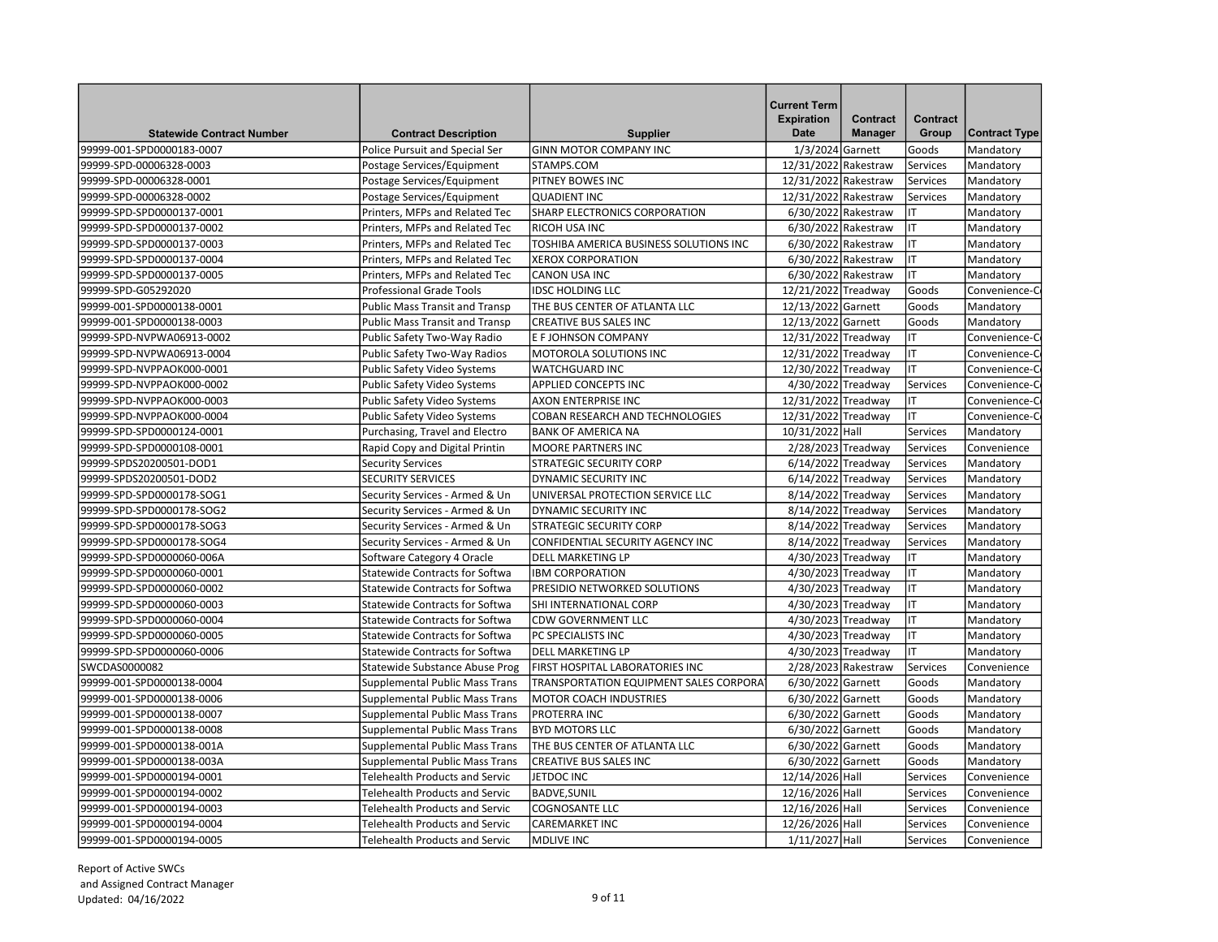| <b>Statewide Contract Number</b>                       | <b>Contract Description</b>           | <b>Supplier</b>                                                 | <b>Current Term</b><br><b>Expiration</b><br><b>Date</b> | Contract<br><b>Manager</b> | Contract<br>Group    | <b>Contract Type</b> |
|--------------------------------------------------------|---------------------------------------|-----------------------------------------------------------------|---------------------------------------------------------|----------------------------|----------------------|----------------------|
| 99999-001-SPD0000183-0007                              | Police Pursuit and Special Ser        | <b>GINN MOTOR COMPANY INC</b>                                   | 1/3/2024 Garnett                                        |                            | Goods                | Mandatory            |
| 99999-SPD-00006328-0003                                | Postage Services/Equipment            | STAMPS.COM                                                      | 12/31/2022 Rakestraw                                    |                            | Services             | Mandatory            |
| 99999-SPD-00006328-0001                                | Postage Services/Equipment            | PITNEY BOWES INC                                                | 12/31/2022 Rakestraw                                    |                            | Services             | Mandatory            |
| 99999-SPD-00006328-0002                                | Postage Services/Equipment            | <b>QUADIENT INC</b>                                             | 12/31/2022 Rakestraw                                    |                            | Services             | Mandatory            |
| 99999-SPD-SPD0000137-0001                              | Printers, MFPs and Related Tec        | SHARP ELECTRONICS CORPORATION                                   | 6/30/2022 Rakestraw                                     |                            | ΙT                   | Mandatory            |
| 99999-SPD-SPD0000137-0002                              | Printers, MFPs and Related Tec        | RICOH USA INC                                                   | 6/30/2022 Rakestraw                                     |                            | lıT                  | Mandatory            |
| 99999-SPD-SPD0000137-0003                              | Printers, MFPs and Related Tec        | TOSHIBA AMERICA BUSINESS SOLUTIONS INC                          | 6/30/2022 Rakestraw                                     |                            | IT                   | Mandatory            |
| 99999-SPD-SPD0000137-0004                              | Printers, MFPs and Related Tec        | <b>XEROX CORPORATION</b>                                        | 6/30/2022 Rakestraw                                     |                            | lιτ                  | Mandatory            |
| 99999-SPD-SPD0000137-0005                              | Printers, MFPs and Related Tec        | <b>CANON USA INC</b>                                            | 6/30/2022 Rakestraw                                     |                            | lιτ                  | Mandatory            |
| 99999-SPD-G05292020                                    | <b>Professional Grade Tools</b>       | <b>IDSC HOLDING LLC</b>                                         | 12/21/2022 Treadway                                     |                            | Goods                | Convenience-C        |
| 99999-001-SPD0000138-0001                              | <b>Public Mass Transit and Transp</b> | THE BUS CENTER OF ATLANTA LLC                                   | 12/13/2022 Garnett                                      |                            | Goods                | Mandatory            |
| 99999-001-SPD0000138-0003                              | <b>Public Mass Transit and Transp</b> | <b>CREATIVE BUS SALES INC</b>                                   | 12/13/2022 Garnett                                      |                            | Goods                | Mandatory            |
| 99999-SPD-NVPWA06913-0002                              | Public Safety Two-Way Radio           | E F JOHNSON COMPANY                                             | 12/31/2022 Treadway                                     |                            | lıt                  | Convenience-C        |
| 99999-SPD-NVPWA06913-0004                              | Public Safety Two-Way Radios          | MOTOROLA SOLUTIONS INC                                          | 12/31/2022 Treadway                                     |                            | IT                   | Convenience-C        |
| 99999-SPD-NVPPAOK000-0001                              | <b>Public Safety Video Systems</b>    | <b>WATCHGUARD INC</b>                                           | 12/30/2022 Treadway                                     |                            | lıt                  | Convenience-C        |
| 99999-SPD-NVPPAOK000-0002                              | Public Safety Video Systems           | <b>APPLIED CONCEPTS INC</b>                                     | 4/30/2022 Treadway                                      |                            | Services             | Convenience-C        |
| 99999-SPD-NVPPAOK000-0003                              | Public Safety Video Systems           | AXON ENTERPRISE INC                                             | 12/31/2022 Treadway                                     |                            | lıT                  | Convenience-C        |
| 99999-SPD-NVPPAOK000-0004                              | <b>Public Safety Video Systems</b>    | COBAN RESEARCH AND TECHNOLOGIES                                 | 12/31/2022 Treadway                                     |                            | lıt                  | Convenience-C        |
| 99999-SPD-SPD0000124-0001                              | Purchasing, Travel and Electro        | <b>BANK OF AMERICA NA</b>                                       | 10/31/2022 Hall                                         |                            | Services             | Mandatory            |
| 99999-SPD-SPD0000108-0001                              | Rapid Copy and Digital Printin        | <b>MOORE PARTNERS INC</b>                                       | 2/28/2023 Treadway                                      |                            | Services             | Convenience          |
| 99999-SPDS20200501-DOD1                                | <b>Security Services</b>              | <b>STRATEGIC SECURITY CORP</b>                                  | 6/14/2022 Treadway                                      |                            | Services             | Mandatory            |
| 99999-SPDS20200501-DOD2                                | SECURITY SERVICES                     | DYNAMIC SECURITY INC                                            | 6/14/2022 Treadway                                      |                            | Services             | Mandatory            |
|                                                        |                                       |                                                                 |                                                         |                            |                      |                      |
| 99999-SPD-SPD0000178-SOG1<br>99999-SPD-SPD0000178-SOG2 | Security Services - Armed & Un        | UNIVERSAL PROTECTION SERVICE LLC<br><b>DYNAMIC SECURITY INC</b> | 8/14/2022 Treadway                                      |                            | Services             | Mandatory            |
|                                                        | Security Services - Armed & Un        | <b>STRATEGIC SECURITY CORP</b>                                  | 8/14/2022 Treadway                                      |                            | Services<br>Services | Mandatory            |
| 99999-SPD-SPD0000178-SOG3                              | Security Services - Armed & Un        |                                                                 | 8/14/2022 Treadway                                      |                            |                      | Mandatory            |
| 99999-SPD-SPD0000178-SOG4                              | Security Services - Armed & Un        | CONFIDENTIAL SECURITY AGENCY INC                                | 8/14/2022 Treadway                                      |                            | Services             | Mandatory            |
| 99999-SPD-SPD0000060-006A                              | Software Category 4 Oracle            | DELL MARKETING LP                                               | 4/30/2023 Treadway                                      |                            | IT                   | Mandatory            |
| 99999-SPD-SPD0000060-0001                              | Statewide Contracts for Softwa        | <b>IBM CORPORATION</b>                                          | 4/30/2023 Treadway                                      |                            | lıT                  | Mandatory            |
| 99999-SPD-SPD0000060-0002                              | <b>Statewide Contracts for Softwa</b> | PRESIDIO NETWORKED SOLUTIONS                                    | 4/30/2023 Treadway                                      |                            | IT                   | Mandatory            |
| 99999-SPD-SPD0000060-0003                              | <b>Statewide Contracts for Softwa</b> | SHI INTERNATIONAL CORP                                          | 4/30/2023 Treadway                                      |                            | IT                   | Mandatory            |
| 99999-SPD-SPD0000060-0004                              | <b>Statewide Contracts for Softwa</b> | <b>CDW GOVERNMENT LLC</b>                                       | 4/30/2023 Treadway                                      |                            | lıt                  | Mandatory            |
| 99999-SPD-SPD0000060-0005                              | <b>Statewide Contracts for Softwa</b> | PC SPECIALISTS INC                                              | 4/30/2023 Treadway                                      |                            | lıt                  | Mandatory            |
| 99999-SPD-SPD0000060-0006                              | Statewide Contracts for Softwa        | <b>DELL MARKETING LP</b>                                        | 4/30/2023 Treadway                                      |                            | lιτ                  | Mandatory            |
| SWCDAS0000082                                          | Statewide Substance Abuse Prog        | FIRST HOSPITAL LABORATORIES INC                                 |                                                         | 2/28/2023 Rakestraw        | Services             | Convenience          |
| 99999-001-SPD0000138-0004                              | <b>Supplemental Public Mass Trans</b> | TRANSPORTATION EQUIPMENT SALES CORPORAT                         | 6/30/2022 Garnett                                       |                            | Goods                | Mandatory            |
| 99999-001-SPD0000138-0006                              | <b>Supplemental Public Mass Trans</b> | <b>MOTOR COACH INDUSTRIES</b>                                   | 6/30/2022 Garnett                                       |                            | Goods                | Mandatory            |
| 99999-001-SPD0000138-0007                              | Supplemental Public Mass Trans        | PROTERRA INC                                                    | 6/30/2022 Garnett                                       |                            | Goods                | Mandatory            |
| 99999-001-SPD0000138-0008                              | Supplemental Public Mass Trans        | <b>BYD MOTORS LLC</b>                                           | 6/30/2022 Garnett                                       |                            | Goods                | Mandatory            |
| 99999-001-SPD0000138-001A                              | Supplemental Public Mass Trans        | THE BUS CENTER OF ATLANTA LLC                                   | 6/30/2022 Garnett                                       |                            | Goods                | Mandatory            |
| 99999-001-SPD0000138-003A                              | <b>Supplemental Public Mass Trans</b> | <b>CREATIVE BUS SALES INC</b>                                   | 6/30/2022 Garnett                                       |                            | Goods                | Mandatory            |
| 99999-001-SPD0000194-0001                              | Telehealth Products and Servic        | JETDOC INC                                                      | 12/14/2026 Hall                                         |                            | Services             | Convenience          |
| 99999-001-SPD0000194-0002                              | Telehealth Products and Servic        | <b>BADVE, SUNIL</b>                                             | 12/16/2026 Hall                                         |                            | Services             | Convenience          |
| 99999-001-SPD0000194-0003                              | <b>Telehealth Products and Servic</b> | <b>COGNOSANTE LLC</b>                                           | 12/16/2026 Hall                                         |                            | Services             | Convenience          |
| 99999-001-SPD0000194-0004                              | Telehealth Products and Servic        | <b>CAREMARKET INC</b>                                           | 12/26/2026 Hall                                         |                            | Services             | Convenience          |
| 99999-001-SPD0000194-0005                              | <b>Telehealth Products and Servic</b> | <b>MDLIVE INC</b>                                               | 1/11/2027 Hall                                          |                            | Services             | Convenience          |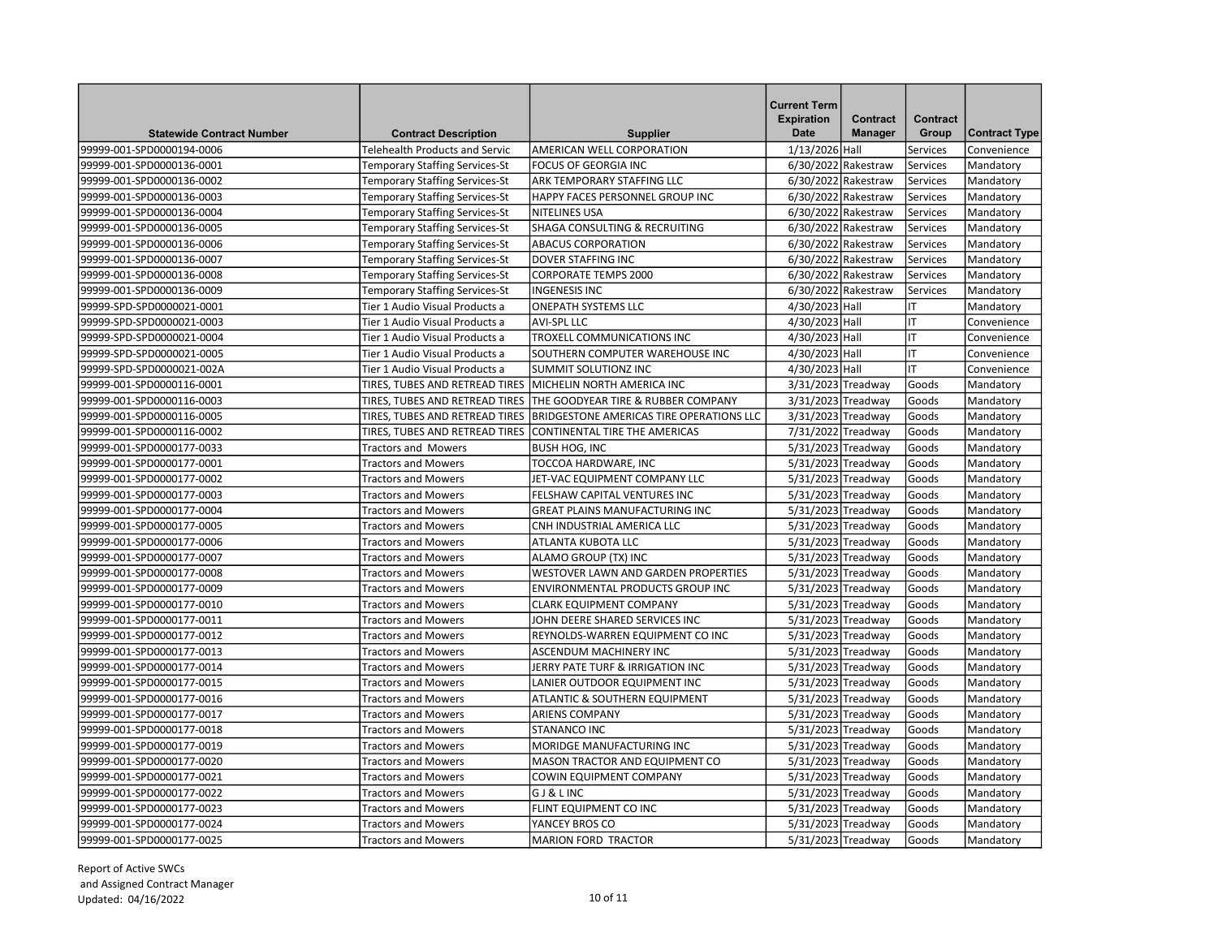|                                  |                                                                                |                                                               | <b>Current Term</b>              |                                   |                          |                        |
|----------------------------------|--------------------------------------------------------------------------------|---------------------------------------------------------------|----------------------------------|-----------------------------------|--------------------------|------------------------|
| <b>Statewide Contract Number</b> |                                                                                |                                                               | <b>Expiration</b><br><b>Date</b> | <b>Contract</b><br><b>Manager</b> | <b>Contract</b><br>Group | <b>Contract Type</b>   |
| 99999-001-SPD0000194-0006        | <b>Contract Description</b><br><b>Telehealth Products and Servic</b>           | <b>Supplier</b><br>AMERICAN WELL CORPORATION                  | 1/13/2026 Hall                   |                                   | Services                 | Convenience            |
| 99999-001-SPD0000136-0001        | Temporary Staffing Services-St                                                 | <b>FOCUS OF GEORGIA INC</b>                                   |                                  | 6/30/2022 Rakestraw               | Services                 | Mandatory              |
| 99999-001-SPD0000136-0002        |                                                                                |                                                               |                                  | 6/30/2022 Rakestraw               | Services                 |                        |
| 99999-001-SPD0000136-0003        | <b>Temporary Staffing Services-St</b><br><b>Temporary Staffing Services-St</b> | ARK TEMPORARY STAFFING LLC<br>HAPPY FACES PERSONNEL GROUP INC |                                  | 6/30/2022 Rakestraw               | Services                 | Mandatory              |
| 99999-001-SPD0000136-0004        | <b>Temporary Staffing Services-St</b>                                          | <b>NITELINES USA</b>                                          |                                  | 6/30/2022 Rakestraw               | Services                 | Mandatory              |
| 99999-001-SPD0000136-0005        | Temporary Staffing Services-St                                                 | SHAGA CONSULTING & RECRUITING                                 |                                  | 6/30/2022 Rakestraw               | Services                 | Mandatory              |
| 99999-001-SPD0000136-0006        | Temporary Staffing Services-St                                                 | <b>ABACUS CORPORATION</b>                                     |                                  | 6/30/2022 Rakestraw               | Services                 | Mandatory<br>Mandatory |
| 99999-001-SPD0000136-0007        | <b>Temporary Staffing Services-St</b>                                          | <b>DOVER STAFFING INC</b>                                     |                                  | 6/30/2022 Rakestraw               | Services                 | Mandatory              |
| 99999-001-SPD0000136-0008        | <b>Temporary Staffing Services-St</b>                                          | <b>CORPORATE TEMPS 2000</b>                                   |                                  | 6/30/2022 Rakestraw               | Services                 | Mandatory              |
| 99999-001-SPD0000136-0009        | <b>Temporary Staffing Services-St</b>                                          | <b>INGENESIS INC</b>                                          |                                  | 6/30/2022 Rakestraw               | Services                 | Mandatory              |
| 99999-SPD-SPD0000021-0001        | Tier 1 Audio Visual Products a                                                 | <b>ONEPATH SYSTEMS LLC</b>                                    | 4/30/2023 Hall                   |                                   | IT                       | Mandatory              |
| 99999-SPD-SPD0000021-0003        | Tier 1 Audio Visual Products a                                                 | <b>AVI-SPL LLC</b>                                            | 4/30/2023 Hall                   |                                   | IT                       |                        |
|                                  |                                                                                |                                                               |                                  |                                   |                          | Convenience            |
| 99999-SPD-SPD0000021-0004        | Tier 1 Audio Visual Products a                                                 | TROXELL COMMUNICATIONS INC                                    | 4/30/2023 Hall                   |                                   | IT                       | Convenience            |
| 99999-SPD-SPD0000021-0005        | Tier 1 Audio Visual Products a                                                 | SOUTHERN COMPUTER WAREHOUSE INC                               | 4/30/2023 Hall                   |                                   | IT                       | Convenience            |
| 99999-SPD-SPD0000021-002A        | Tier 1 Audio Visual Products a                                                 | <b>SUMMIT SOLUTIONZ INC</b>                                   | 4/30/2023 Hall                   |                                   | IT                       | Convenience            |
| 99999-001-SPD0000116-0001        | TIRES, TUBES AND RETREAD TIRES                                                 | MICHELIN NORTH AMERICA INC                                    | 3/31/2023 Treadway               |                                   | Goods                    | Mandatory              |
| 99999-001-SPD0000116-0003        | TIRES, TUBES AND RETREAD TIRES                                                 | THE GOODYEAR TIRE & RUBBER COMPANY                            | 3/31/2023 Treadway               |                                   | Goods                    | Mandatory              |
| 99999-001-SPD0000116-0005        | TIRES, TUBES AND RETREAD TIRES                                                 | <b>BRIDGESTONE AMERICAS TIRE OPERATIONS LLC</b>               | 3/31/2023 Treadway               |                                   | Goods                    | Mandatory              |
| 99999-001-SPD0000116-0002        | TIRES, TUBES AND RETREAD TIRES                                                 | CONTINENTAL TIRE THE AMERICAS                                 | 7/31/2022 Treadway               |                                   | Goods                    | Mandatory              |
| 99999-001-SPD0000177-0033        | <b>Tractors and Mowers</b>                                                     | <b>BUSH HOG, INC</b>                                          | 5/31/2023 Treadway               |                                   | Goods                    | Mandatory              |
| 99999-001-SPD0000177-0001        | <b>Tractors and Mowers</b>                                                     | TOCCOA HARDWARE, INC                                          | 5/31/2023 Treadway               |                                   | Goods                    | Mandatory              |
| 99999-001-SPD0000177-0002        | <b>Tractors and Mowers</b>                                                     | JET-VAC EQUIPMENT COMPANY LLC                                 | 5/31/2023 Treadway               |                                   | Goods                    | Mandatory              |
| 99999-001-SPD0000177-0003        | <b>Tractors and Mowers</b>                                                     | FELSHAW CAPITAL VENTURES INC                                  | 5/31/2023 Treadway               |                                   | Goods                    | Mandatory              |
| 99999-001-SPD0000177-0004        | <b>Tractors and Mowers</b>                                                     | <b>GREAT PLAINS MANUFACTURING INC</b>                         | 5/31/2023 Treadway               |                                   | Goods                    | Mandatory              |
| 99999-001-SPD0000177-0005        | <b>Tractors and Mowers</b>                                                     | CNH INDUSTRIAL AMERICA LLC                                    | 5/31/2023 Treadway               |                                   | Goods                    | Mandatory              |
| 99999-001-SPD0000177-0006        | <b>Tractors and Mowers</b>                                                     | ATLANTA KUBOTA LLC                                            | 5/31/2023 Treadway               |                                   | Goods                    | Mandatory              |
| 99999-001-SPD0000177-0007        | <b>Tractors and Mowers</b>                                                     | ALAMO GROUP (TX) INC                                          | 5/31/2023 Treadway               |                                   | Goods                    | Mandatory              |
| 99999-001-SPD0000177-0008        | <b>Tractors and Mowers</b>                                                     | WESTOVER LAWN AND GARDEN PROPERTIES                           | 5/31/2023 Treadway               |                                   | Goods                    | Mandatory              |
| 99999-001-SPD0000177-0009        | <b>Tractors and Mowers</b>                                                     | <b>ENVIRONMENTAL PRODUCTS GROUP INC</b>                       | 5/31/2023 Treadway               |                                   | Goods                    | Mandatory              |
| 99999-001-SPD0000177-0010        | Tractors and Mowers                                                            | <b>CLARK EQUIPMENT COMPANY</b>                                | 5/31/2023 Treadway               |                                   | Goods                    | Mandatory              |
| 99999-001-SPD0000177-0011        | <b>Tractors and Mowers</b>                                                     | JOHN DEERE SHARED SERVICES INC                                | 5/31/2023 Treadway               |                                   | Goods                    | Mandatory              |
| 99999-001-SPD0000177-0012        | <b>Tractors and Mowers</b>                                                     | REYNOLDS-WARREN EQUIPMENT CO INC                              | 5/31/2023 Treadway               |                                   | Goods                    | Mandatory              |
| 99999-001-SPD0000177-0013        | <b>Tractors and Mowers</b>                                                     | ASCENDUM MACHINERY INC                                        | 5/31/2023 Treadway               |                                   | Goods                    | Mandatory              |
| 99999-001-SPD0000177-0014        | <b>Tractors and Mowers</b>                                                     | JERRY PATE TURF & IRRIGATION INC                              | 5/31/2023 Treadway               |                                   | Goods                    | Mandatory              |
| 99999-001-SPD0000177-0015        | <b>Tractors and Mowers</b>                                                     | LANIER OUTDOOR EQUIPMENT INC                                  | 5/31/2023 Treadway               |                                   | Goods                    | Mandatory              |
| 99999-001-SPD0000177-0016        | <b>Tractors and Mowers</b>                                                     | ATLANTIC & SOUTHERN EQUIPMENT                                 | 5/31/2023 Treadway               |                                   | Goods                    | Mandatory              |
| 99999-001-SPD0000177-0017        | <b>Tractors and Mowers</b>                                                     | <b>ARIENS COMPANY</b>                                         | 5/31/2023 Treadway               |                                   | Goods                    | Mandatory              |
| 99999-001-SPD0000177-0018        | <b>Tractors and Mowers</b>                                                     | <b>STANANCO INC</b>                                           | 5/31/2023 Treadway               |                                   | Goods                    | Mandatory              |
| 99999-001-SPD0000177-0019        | <b>Tractors and Mowers</b>                                                     | <b>MORIDGE MANUFACTURING INC</b>                              | 5/31/2023 Treadway               |                                   | Goods                    | Mandatory              |
| 99999-001-SPD0000177-0020        | <b>Tractors and Mowers</b>                                                     | MASON TRACTOR AND EQUIPMENT CO                                | 5/31/2023 Treadway               |                                   | Goods                    | Mandatory              |
| 99999-001-SPD0000177-0021        | <b>Tractors and Mowers</b>                                                     | COWIN EQUIPMENT COMPANY                                       | 5/31/2023 Treadway               |                                   | Goods                    | Mandatory              |
| 99999-001-SPD0000177-0022        | <b>Tractors and Mowers</b>                                                     | <b>GJ&amp;LINC</b>                                            | 5/31/2023 Treadway               |                                   | Goods                    | Mandatory              |
| 99999-001-SPD0000177-0023        | <b>Tractors and Mowers</b>                                                     | FLINT EQUIPMENT CO INC                                        | 5/31/2023 Treadway               |                                   | Goods                    | Mandatory              |
| 99999-001-SPD0000177-0024        | <b>Tractors and Mowers</b>                                                     | YANCEY BROS CO                                                | 5/31/2023 Treadway               |                                   | Goods                    | Mandatory              |
| 99999-001-SPD0000177-0025        | <b>Tractors and Mowers</b>                                                     | MARION FORD TRACTOR                                           | 5/31/2023 Treadway               |                                   | Goods                    | Mandatory              |